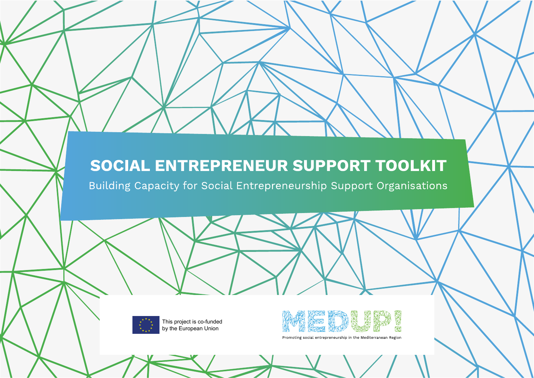# SOCIAL ENTREPRENEUR SUPPORT TOOLKIT

Building Capacity for Social Entrepreneurship Support Organisations



This project is co-funded by the European Union



Promoting social entrepreneurship in the Mediterranean Region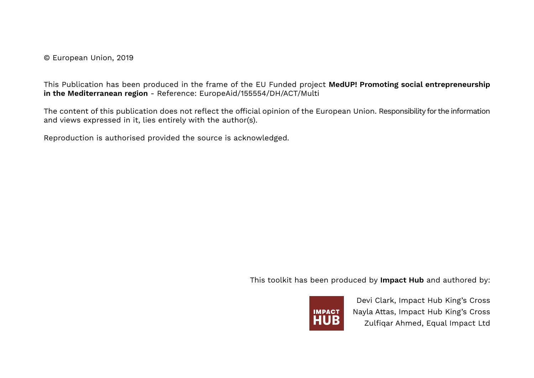© European Union, 2019

This Publication has been produced in the frame of the EU Funded project **MedUP! Promoting social entrepreneurship in the Mediterranean region** - Reference: EuropeAid/155554/DH/ACT/Multi

The content of this publication does not reflect the official opinion of the European Union. Responsibility for the information and views expressed in it, lies entirely with the author(s).

Reproduction is authorised provided the source is acknowledged.

This toolkit has been produced by **Impact Hub** and authored by:



Devi Clark, Impact Hub King's Cross Nayla Attas, Impact Hub King's Cross Zulfiqar Ahmed, Equal Impact Ltd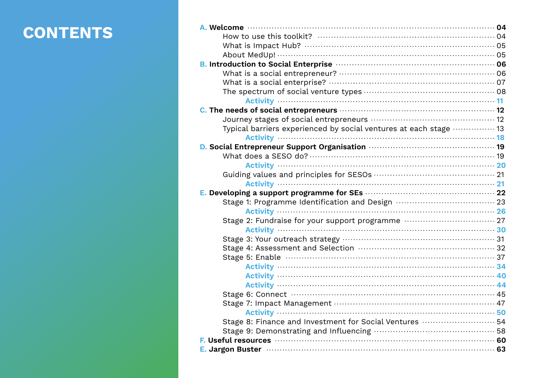# **CONTENTS**

| What is Impact Hub? ……………………………………………………………………………05               |  |
|-------------------------------------------------------------------|--|
|                                                                   |  |
|                                                                   |  |
|                                                                   |  |
|                                                                   |  |
|                                                                   |  |
|                                                                   |  |
|                                                                   |  |
|                                                                   |  |
| Typical barriers experienced by social ventures at each stage  13 |  |
|                                                                   |  |
|                                                                   |  |
|                                                                   |  |
|                                                                   |  |
|                                                                   |  |
|                                                                   |  |
|                                                                   |  |
|                                                                   |  |
|                                                                   |  |
| Stage 2: Fundraise for your support programme  27                 |  |
|                                                                   |  |
|                                                                   |  |
|                                                                   |  |
|                                                                   |  |
|                                                                   |  |
|                                                                   |  |
|                                                                   |  |
|                                                                   |  |
|                                                                   |  |
| Stage 8: Finance and Investment for Social Ventures  54           |  |
|                                                                   |  |
|                                                                   |  |
|                                                                   |  |
|                                                                   |  |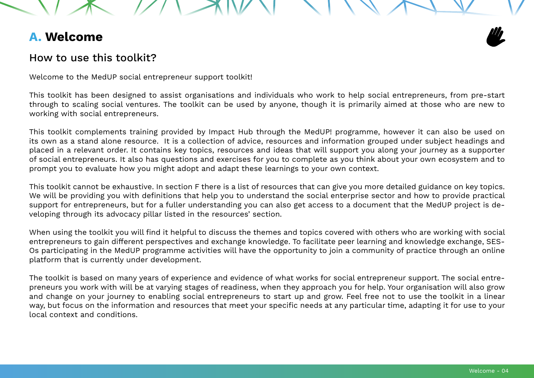# <span id="page-3-0"></span>**A. Welcome**

# How to use this toolkit?

Welcome to the MedUP social entrepreneur support toolkit!

This toolkit has been designed to assist organisations and individuals who work to help social entrepreneurs, from pre-start through to scaling social ventures. The toolkit can be used by anyone, though it is primarily aimed at those who are new to working with social entrepreneurs.

This toolkit complements training provided by Impact Hub through the MedUP! programme, however it can also be used on its own as a stand alone resource. It is a collection of advice, resources and information grouped under subject headings and placed in a relevant order. It contains key topics, resources and ideas that will support you along your journey as a supporter of social entrepreneurs. It also has questions and exercises for you to complete as you think about your own ecosystem and to prompt you to evaluate how you might adopt and adapt these learnings to your own context.

This toolkit cannot be exhaustive. In section F there is a list of resources that can give you more detailed guidance on key topics. We will be providing you with definitions that help you to understand the social enterprise sector and how to provide practical support for entrepreneurs, but for a fuller understanding you can also get access to a document that the MedUP project is developing through its advocacy pillar listed in the resources' section.

When using the toolkit you will find it helpful to discuss the themes and topics covered with others who are working with social entrepreneurs to gain different perspectives and exchange knowledge. To facilitate peer learning and knowledge exchange, SES-Os participating in the MedUP programme activities will have the opportunity to join a community of practice through an online platform that is currently under development.

The toolkit is based on many years of experience and evidence of what works for social entrepreneur support. The social entrepreneurs you work with will be at varying stages of readiness, when they approach you for help. Your organisation will also grow and change on your journey to enabling social entrepreneurs to start up and grow. Feel free not to use the toolkit in a linear way, but focus on the information and resources that meet your specific needs at any particular time, adapting it for use to your local context and conditions.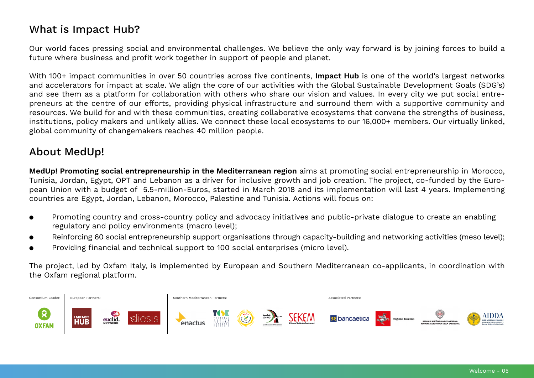# <span id="page-4-0"></span>What is Impact Hub?

Our world faces pressing social and environmental challenges. We believe the only way forward is by joining forces to build a future where business and profit work together in support of people and planet.

With 100+ impact communities in over 50 countries across five continents, **Impact Hub** is one of the world's largest networks and accelerators for impact at scale. We align the core of our activities with the Global Sustainable Development Goals (SDG's) and see them as a platform for collaboration with others who share our vision and values. In every city we put social entrepreneurs at the centre of our efforts, providing physical infrastructure and surround them with a supportive community and resources. We build for and with these communities, creating collaborative ecosystems that convene the strengths of business, institutions, policy makers and unlikely allies. We connect these local ecosystems to our 16,000+ members. Our virtually linked, global community of changemakers reaches 40 million people.

# About MedUp!

**MedUp! Promoting social entrepreneurship in the Mediterranean region** aims at promoting social entrepreneurship in Morocco, Tunisia, Jordan, Egypt, OPT and Lebanon as a driver for inclusive growth and job creation. The project, co-funded by the European Union with a budget of 5.5-million-Euros, started in March 2018 and its implementation will last 4 years. Implementing countries are Egypt, Jordan, Lebanon, Morocco, Palestine and Tunisia. Actions will focus on:

- Promoting country and cross-country policy and advocacy initiatives and public-private dialogue to create an enabling regulatory and policy environments (macro level);
- Reinforcing 60 social entrepreneurship support organisations through capacity-building and networking activities (meso level);
- Providing financial and technical support to 100 social enterprises (micro level).

The project, led by Oxfam Italy, is implemented by European and Southern Mediterranean co-applicants, in coordination with the Oxfam regional platform.

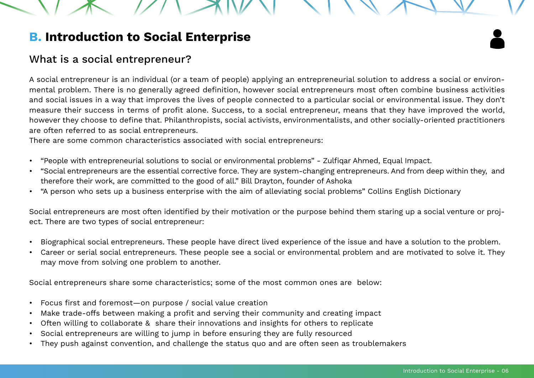# <span id="page-5-0"></span>**B. Introduction to Social Enterprise**

# What is a social entrepreneur?

A social entrepreneur is an individual (or a team of people) applying an entrepreneurial solution to address a social or environmental problem. There is no generally agreed definition, however social entrepreneurs most often combine business activities and social issues in a way that improves the lives of people connected to a particular social or environmental issue. They don't measure their success in terms of profit alone. Success, to a social entrepreneur, means that they have improved the world, however they choose to define that. Philanthropists, social activists, environmentalists, and other socially-oriented practitioners are often referred to as social entrepreneurs.

There are some common characteristics associated with social entrepreneurs:

- "People with entrepreneurial solutions to social or environmental problems" Zulfiqar Ahmed, Equal Impact.
- "Social entrepreneurs are the essential corrective force. They are system-changing entrepreneurs. And from deep within they, and therefore their work, are committed to the good of all." Bill Drayton, founder of Ashoka
- "A person who sets up a business enterprise with the aim of alleviating social problems" Collins English Dictionary

Social entrepreneurs are most often identified by their motivation or the purpose behind them staring up a social venture or project. There are two types of social entrepreneur:

- Biographical social entrepreneurs. These people have direct lived experience of the issue and have a solution to the problem.
- Career or serial social entrepreneurs. These people see a social or environmental problem and are motivated to solve it. They may move from solving one problem to another.

Social entrepreneurs share some characteristics; some of the most common ones are below:

- Focus first and foremost—on purpose / social value creation
- Make trade-offs between making a profit and serving their community and creating impact
- Often willing to collaborate & share their innovations and insights for others to replicate
- Social entrepreneurs are willing to jump in before ensuring they are fully resourced
- They push against convention, and challenge the status quo and are often seen as troublemakers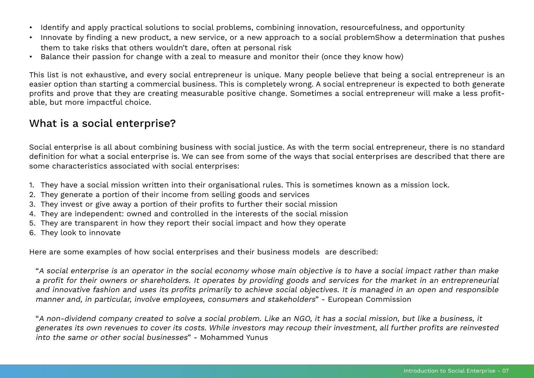- <span id="page-6-0"></span>• Identify and apply practical solutions to social problems, combining innovation, resourcefulness, and opportunity
- Innovate by finding a new product, a new service, or a new approach to a social problemShow a determination that pushes them to take risks that others wouldn't dare, often at personal risk
- Balance their passion for change with a zeal to measure and monitor their (once they know how)

This list is not exhaustive, and every social entrepreneur is unique. Many people believe that being a social entrepreneur is an easier option than starting a commercial business. This is completely wrong. A social entrepreneur is expected to both generate profits and prove that they are creating measurable positive change. Sometimes a social entrepreneur will make a less profitable, but more impactful choice.

# What is a social enterprise?

Social enterprise is all about combining business with social justice. As with the term social entrepreneur, there is no standard definition for what a social enterprise is. We can see from some of the ways that social enterprises are described that there are some characteristics associated with social enterprises:

- 1. They have a social mission written into their organisational rules. This is sometimes known as a mission lock.
- 2. They generate a portion of their income from selling goods and services
- 3. They invest or give away a portion of their profits to further their social mission
- 4. They are independent: owned and controlled in the interests of the social mission
- 5. They are transparent in how they report their social impact and how they operate
- 6. They look to innovate

Here are some examples of how social enterprises and their business models are described:

"A social enterprise is an operator in the social economy whose main objective is to have a social impact rather than make a profit for their owners or shareholders. It operates by providing goods and services for the market in an entrepreneurial and innovative fashion and uses its profits primarily to achieve social objectives. It is managed in an open and responsible manner and, in particular, involve employees, consumers and stakeholders" - European Commission

"A non-dividend company created to solve a social problem. Like an NGO, it has a social mission, but like a business, it generates its own revenues to cover its costs. While investors may recoup their investment, all further profits are reinvested into the same or other social businesses" - Mohammed Yunus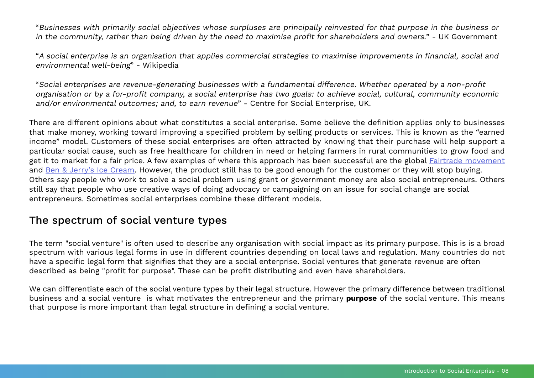<span id="page-7-0"></span>"Businesses with primarily social objectives whose surpluses are principally reinvested for that purpose in the business or in the community, rather than being driven by the need to maximise profit for shareholders and owners." - UK Government

"A social enterprise is an organisation that applies commercial strategies to maximise improvements in financial, social and environmental well-being" - Wikipedia

"Social enterprises are revenue-generating businesses with a fundamental difference. Whether operated by a non-profit organisation or by a for-profit company, a social enterprise has two goals: to achieve social, cultural, community economic and/or environmental outcomes; and, to earn revenue" - Centre for Social Enterprise, UK.

There are different opinions about what constitutes a social enterprise. Some believe the definition applies only to businesses that make money, working toward improving a specified problem by selling products or services. This is known as the "earned income" model. Customers of these social enterprises are often attracted by knowing that their purchase will help support a particular social cause, such as free healthcare for children in need or helping farmers in rural communities to grow food and get it to market for a fair price. A few examples of where this approach has been successful are the global [Fairtrade movement](http://www.fairtrade.org.uk) and [Ben & Jerry's Ice Cream](https://www.benjerry.co.uk). However, the product still has to be good enough for the customer or they will stop buying. Others say people who work to solve a social problem using grant or government money are also social entrepreneurs. Others still say that people who use creative ways of doing advocacy or campaigning on an issue for social change are social entrepreneurs. Sometimes social enterprises combine these different models.

# The spectrum of social venture types

The term "social venture" is often used to describe any organisation with social impact as its primary purpose. This is is a broad spectrum with various legal forms in use in different countries depending on local laws and regulation. Many countries do not have a specific legal form that signifies that they are a social enterprise. Social ventures that generate revenue are often described as being "profit for purpose". These can be profit distributing and even have shareholders.

We can differentiate each of the social venture types by their legal structure. However the primary difference between traditional business and a social venture is what motivates the entrepreneur and the primary **purpose** of the social venture. This means that purpose is more important than legal structure in defining a social venture.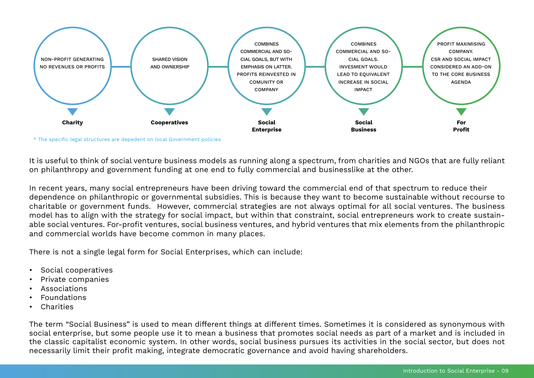

\* The specific legal structures are depedent on local Government policies

It is useful to think of social venture business models as running along a spectrum, from charities and NGOs that are fully reliant on philanthropy and government funding at one end to fully commercial and businesslike at the other.

In recent years, many social entrepreneurs have been driving toward the commercial end of that spectrum to reduce their dependence on philanthropic or governmental subsidies. This is because they want to become sustainable without recourse to charitable or government funds. However, commercial strategies are not always optimal for all social ventures. The business model has to align with the strategy for social impact, but within that constraint, social entrepreneurs work to create sustainable social ventures. For-profit ventures, social business ventures, and hybrid ventures that mix elements from the philanthropic and commercial worlds have become common in many places.

There is not a single legal form for Social Enterprises, which can include:

- Social cooperatives
- Private companies
- **Associations**
- Foundations
- Charities

The term "Social Business" is used to mean different things at different times. Sometimes it is considered as synonymous with social enterprise, but some people use it to mean a business that promotes social needs as part of a market and is included in the classic capitalist economic system. In other words, social business pursues its activities in the social sector, but does not necessarily limit their profit making, integrate democratic governance and avoid having shareholders.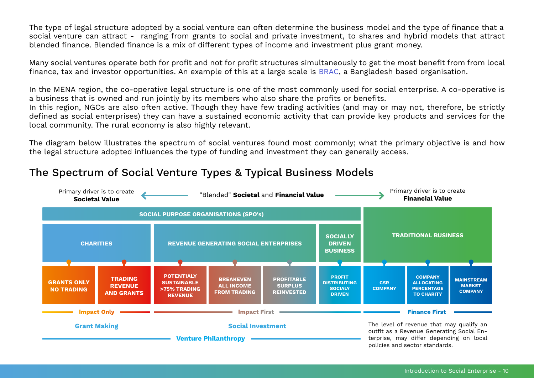The type of legal structure adopted by a social venture can often determine the business model and the type of finance that a social venture can attract - ranging from grants to social and private investment, to shares and hybrid models that attract blended finance. Blended finance is a mix of different types of income and investment plus grant money.

Many social ventures operate both for profit and not for profit structures simultaneously to get the most benefit from from local finance, tax and investor opportunities. An example of this at a large scale is [BRAC](http://www.brac.net), a Bangladesh based organisation.

In the MENA region, the co-operative legal structure is one of the most commonly used for social enterprise. A co-operative is a business that is owned and run jointly by its members who also share the profits or benefits.

In this region, NGOs are also often active. Though they have few trading activities (and may or may not, therefore, be strictly defined as social enterprises) they can have a sustained economic activity that can provide key products and services for the local community. The rural economy is also highly relevant.

The diagram below illustrates the spectrum of social ventures found most commonly; what the primary objective is and how the legal structure adopted influences the type of funding and investment they can generally access.

# The Spectrum of Social Venture Types & Typical Business Models

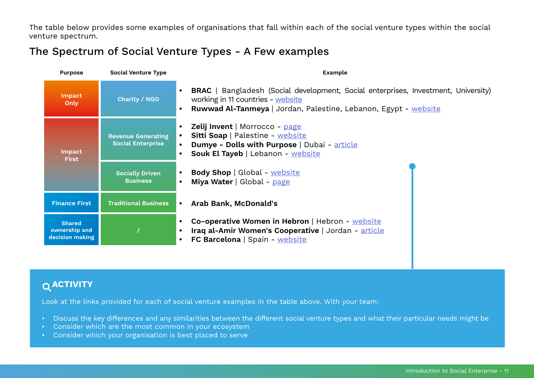<span id="page-10-0"></span>The table below provides some examples of organisations that fall within each of the social venture types within the social venture spectrum.

# The Spectrum of Social Venture Types - A Few examples

| <b>Purpose</b>                                    | <b>Social Venture Type</b>                            | <b>Example</b>                                                                                                                                                                                           |  |  |
|---------------------------------------------------|-------------------------------------------------------|----------------------------------------------------------------------------------------------------------------------------------------------------------------------------------------------------------|--|--|
| <b>Impact</b><br>Only                             | <b>Charity / NGO</b>                                  | <b>BRAC</b>   Bangladesh (Social development, Social enterprises, Investment, University)<br>working in 11 countries - website<br><b>Ruwwad Al-Tanmeya</b>   Jordan, Palestine, Lebanon, Egypt - website |  |  |
| <b>Impact</b><br><b>First</b>                     | <b>Revenue Generating</b><br><b>Social Enterprise</b> | <b>Zelij Invent</b>   Morrocco - page<br>Sitti Soap   Palestine - website<br>Dumye - Dolls with Purpose   Dubai - article<br>Souk El Tayeb   Lebanon - website                                           |  |  |
|                                                   | <b>Socially Driven</b><br><b>Business</b>             | <b>Body Shop</b>   Global - website<br>Miya Water   Global - page                                                                                                                                        |  |  |
| <b>Finance First</b>                              | <b>Traditional Business</b>                           | Arab Bank, McDonald's<br>$\bullet$                                                                                                                                                                       |  |  |
| <b>Shared</b><br>ownership and<br>decision making |                                                       | Co-operative Women in Hebron   Hebron - website<br>Iraq al-Amir Women's Cooperative   Jordan - article<br>FC Barcelona   Spain - website                                                                 |  |  |

# **ACTIVITY**

Look at the links provided for each of social venture examples in the table above. With your team:

- Discuss the key differences and any similarities between the different social venture types and what their particular needs might be
- Consider which are the most common in your ecosystem
- Consider which your organisation is best placed to serve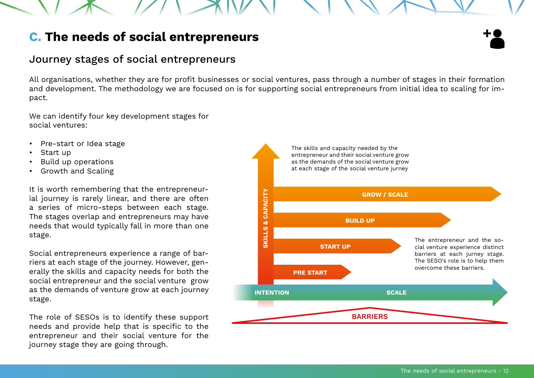# <span id="page-11-0"></span>**C. The needs of social entrepreneurs**

# Journey stages of social entrepreneurs

All organisations, whether they are for profit businesses or social ventures, pass through a number of stages in their formation and development. The methodology we are focused on is for supporting social entrepreneurs from initial idea to scaling for impact.

We can identify four key development stages for social ventures:

- Pre-start or Idea stage
- Start up
- Build up operations
- Growth and Scaling

It is worth remembering that the entrepreneurial journey is rarely linear, and there are often a series of micro-steps between each stage. The stages overlap and entrepreneurs may have needs that would typically fall in more than one stage.

Social entrepreneurs experience a range of barriers at each stage of the journey. However, generally the skills and capacity needs for both the social entrepreneur and the social venture grow as the demands of venture grow at each journey stage.

The role of SESOs is to identify these support needs and provide help that is specific to the entrepreneur and their social venture for the journey stage they are going through.

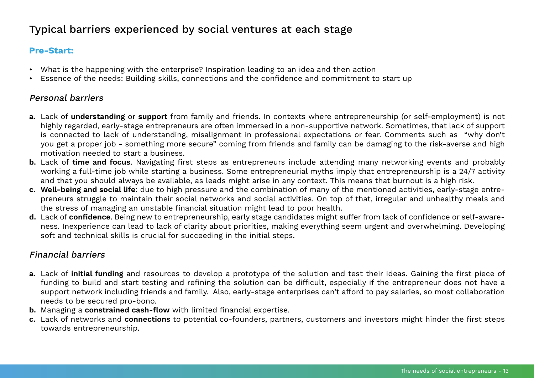# <span id="page-12-0"></span>Typical barriers experienced by social ventures at each stage

# **Pre-Start:**

- What is the happening with the enterprise? Inspiration leading to an idea and then action
- Essence of the needs: Building skills, connections and the confidence and commitment to start up

### Personal barriers

- **a.** Lack of **understanding** or **support** from family and friends. In contexts where entrepreneurship (or self-employment) is not highly regarded, early-stage entrepreneurs are often immersed in a non-supportive network. Sometimes, that lack of support is connected to lack of understanding, misalignment in professional expectations or fear. Comments such as "why don't you get a proper job - something more secure" coming from friends and family can be damaging to the risk-averse and high motivation needed to start a business.
- **b.** Lack of **time and focus**. Navigating first steps as entrepreneurs include attending many networking events and probably working a full-time job while starting a business. Some entrepreneurial myths imply that entrepreneurship is a 24/7 activity and that you should always be available, as leads might arise in any context. This means that burnout is a high risk.
- **c. Well-being and social life**: due to high pressure and the combination of many of the mentioned activities, early-stage entrepreneurs struggle to maintain their social networks and social activities. On top of that, irregular and unhealthy meals and the stress of managing an unstable financial situation might lead to poor health.
- **d.** Lack of **confidence**. Being new to entrepreneurship, early stage candidates might suffer from lack of confidence or self-awareness. Inexperience can lead to lack of clarity about priorities, making everything seem urgent and overwhelming. Developing soft and technical skills is crucial for succeeding in the initial steps.

# Financial barriers

- **a.** Lack of **initial funding** and resources to develop a prototype of the solution and test their ideas. Gaining the first piece of funding to build and start testing and refining the solution can be difficult, especially if the entrepreneur does not have a support network including friends and family. Also, early-stage enterprises can't afford to pay salaries, so most collaboration needs to be secured pro-bono.
- **b.** Managing a **constrained cash-flow** with limited financial expertise.
- **c.** Lack of networks and **connections** to potential co-founders, partners, customers and investors might hinder the first steps towards entrepreneurship.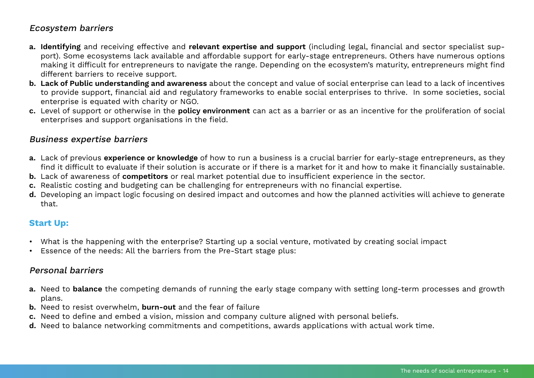# Ecosystem barriers

- **a. Identifying** and receiving effective and **relevant expertise and support** (including legal, financial and sector specialist support). Some ecosystems lack available and affordable support for early-stage entrepreneurs. Others have numerous options making it difficult for entrepreneurs to navigate the range. Depending on the ecosystem's maturity, entrepreneurs might find different barriers to receive support.
- **b. Lack of Public understanding and awareness** about the concept and value of social enterprise can lead to a lack of incentives to provide support, financial aid and regulatory frameworks to enable social enterprises to thrive. In some societies, social enterprise is equated with charity or NGO.
- **c.** Level of support or otherwise in the **policy environment** can act as a barrier or as an incentive for the proliferation of social enterprises and support organisations in the field.

### Business expertise barriers

- **a.** Lack of previous **experience or knowledge** of how to run a business is a crucial barrier for early-stage entrepreneurs, as they find it difficult to evaluate if their solution is accurate or if there is a market for it and how to make it financially sustainable.
- **b.** Lack of awareness of **competitors** or real market potential due to insufficient experience in the sector.
- **c.** Realistic costing and budgeting can be challenging for entrepreneurs with no financial expertise.
- **d.** Developing an impact logic focusing on desired impact and outcomes and how the planned activities will achieve to generate that.

# **Start Up:**

- What is the happening with the enterprise? Starting up a social venture, motivated by creating social impact
- Essence of the needs: All the barriers from the Pre-Start stage plus:

### Personal barriers

- **a.** Need to **balance** the competing demands of running the early stage company with setting long-term processes and growth plans.
- **b.** Need to resist overwhelm, **burn-out** and the fear of failure
- **c.** Need to define and embed a vision, mission and company culture aligned with personal beliefs.
- **d.** Need to balance networking commitments and competitions, awards applications with actual work time.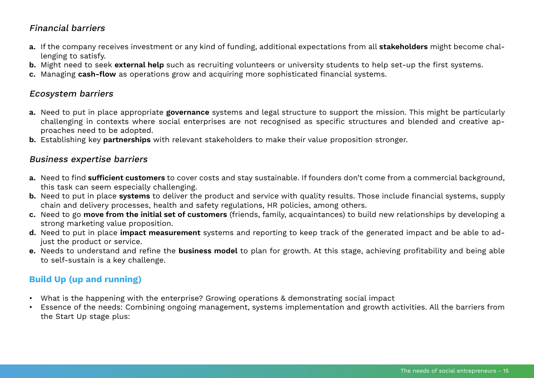# Financial barriers

- **a.** If the company receives investment or any kind of funding, additional expectations from all **stakeholders** might become challenging to satisfy.
- **b.** Might need to seek **external help** such as recruiting volunteers or university students to help set-up the first systems.
- **c.** Managing **cash-flow** as operations grow and acquiring more sophisticated financial systems.

## Ecosystem barriers

- **a.** Need to put in place appropriate **governance** systems and legal structure to support the mission. This might be particularly challenging in contexts where social enterprises are not recognised as specific structures and blended and creative approaches need to be adopted.
- **b.** Establishing key **partnerships** with relevant stakeholders to make their value proposition stronger.

### Business expertise barriers

- **a.** Need to find **sufficient customers** to cover costs and stay sustainable. If founders don't come from a commercial background, this task can seem especially challenging.
- **b.** Need to put in place **systems** to deliver the product and service with quality results. Those include financial systems, supply chain and delivery processes, health and safety regulations, HR policies, among others.
- **c.** Need to go **move from the initial set of customers** (friends, family, acquaintances) to build new relationships by developing a strong marketing value proposition.
- **d.** Need to put in place **impact measurement** systems and reporting to keep track of the generated impact and be able to adjust the product or service.
- **e.** Needs to understand and refine the **business model** to plan for growth. At this stage, achieving profitability and being able to self-sustain is a key challenge.

# **Build Up (up and running)**

- What is the happening with the enterprise? Growing operations & demonstrating social impact
- Essence of the needs: Combining ongoing management, systems implementation and growth activities. All the barriers from the Start Up stage plus: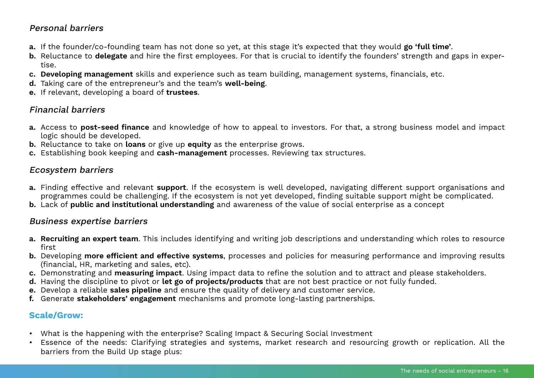### Personal barriers

- **a.** If the founder/co-founding team has not done so yet, at this stage it's expected that they would **go 'full time'**.
- **b.** Reluctance to **delegate** and hire the first employees. For that is crucial to identify the founders' strength and gaps in expertise.
- **c. Developing management** skills and experience such as team building, management systems, financials, etc.
- **d.** Taking care of the entrepreneur's and the team's **well-being**.
- **e.** If relevant, developing a board of **trustees**.

# Financial barriers

- **a.** Access to **post-seed finance** and knowledge of how to appeal to investors. For that, a strong business model and impact logic should be developed.
- **b.** Reluctance to take on **loans** or give up **equity** as the enterprise grows.
- **c.** Establishing book keeping and **cash-management** processes. Reviewing tax structures.

### Ecosystem barriers

- **a.** Finding effective and relevant **support**. If the ecosystem is well developed, navigating different support organisations and programmes could be challenging. If the ecosystem is not yet developed, finding suitable support might be complicated.
- **b.** Lack of **public and institutional understanding** and awareness of the value of social enterprise as a concept

### Business expertise barriers

- **a. Recruiting an expert team**. This includes identifying and writing job descriptions and understanding which roles to resource first
- **b.** Developing **more efficient and effective systems**, processes and policies for measuring performance and improving results (financial, HR, marketing and sales, etc).
- **c.** Demonstrating and **measuring impact**. Using impact data to refine the solution and to attract and please stakeholders.
- **d.** Having the discipline to pivot or **let go of projects/products** that are not best practice or not fully funded.
- **e.** Develop a reliable **sales pipeline** and ensure the quality of delivery and customer service.
- **f.** Generate **stakeholders' engagement** mechanisms and promote long-lasting partnerships.

### **Scale/Grow:**

- What is the happening with the enterprise? Scaling Impact & Securing Social Investment
- Essence of the needs: Clarifying strategies and systems, market research and resourcing growth or replication. All the barriers from the Build Up stage plus: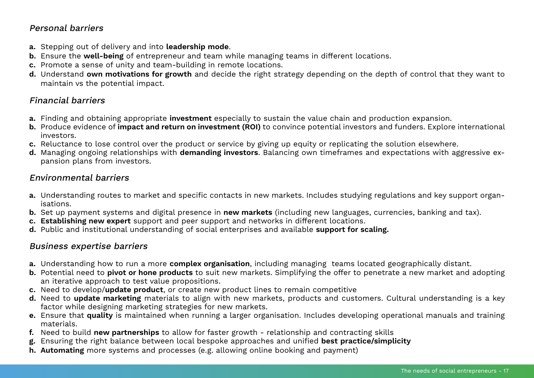## Personal barriers

- **a.** Stepping out of delivery and into **leadership mode**.
- **b.** Ensure the **well-being** of entrepreneur and team while managing teams in different locations.
- **c.** Promote a sense of unity and team-building in remote locations.
- **d.** Understand **own motivations for growth** and decide the right strategy depending on the depth of control that they want to maintain vs the potential impact.

# Financial barriers

- **a.** Finding and obtaining appropriate **investment** especially to sustain the value chain and production expansion.
- **b.** Produce evidence of **impact and return on investment (ROI)** to convince potential investors and funders. Explore international investors.
- **c.** Reluctance to lose control over the product or service by giving up equity or replicating the solution elsewhere.
- **d.** Managing ongoing relationships with **demanding investors**. Balancing own timeframes and expectations with aggressive expansion plans from investors.

### Environmental barriers

- **a.** Understanding routes to market and specific contacts in new markets. Includes studying regulations and key support organisations.
- **b.** Set up payment systems and digital presence in **new markets** (including new languages, currencies, banking and tax).
- **c. Establishing new expert** support and peer support and networks in different locations.
- **d.** Public and institutional understanding of social enterprises and available **support for scaling.**

### Business expertise barriers

- **a.** Understanding how to run a more **complex organisation**, including managing teams located geographically distant.
- **b.** Potential need to **pivot or hone products** to suit new markets. Simplifying the offer to penetrate a new market and adopting an iterative approach to test value propositions.
- **c.** Need to develop/**update product**, or create new product lines to remain competitive
- **d.** Need to **update marketing** materials to align with new markets, products and customers. Cultural understanding is a key factor while designing marketing strategies for new markets.
- **e.** Ensure that **quality** is maintained when running a larger organisation. Includes developing operational manuals and training materials.
- **f.** Need to build **new partnerships** to allow for faster growth relationship and contracting skills
- **g.** Ensuring the right balance between local bespoke approaches and unified **best practice/simplicity**
- **h. Automating** more systems and processes (e.g. allowing online booking and payment)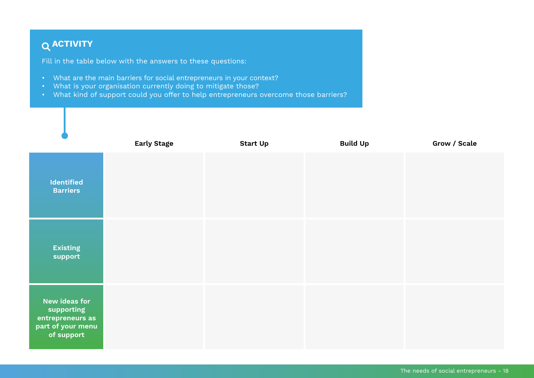# <span id="page-17-0"></span> **ACTIVITY**

Fill in the table below with the answers to these questions:

- What are the main barriers for social entrepreneurs in your context?
- What is your organisation currently doing to mitigate those?
- What kind of support could you offer to help entrepreneurs overcome those barriers?

|                                                                                    | <b>Early Stage</b> | <b>Start Up</b> | <b>Build Up</b> | Grow / Scale |
|------------------------------------------------------------------------------------|--------------------|-----------------|-----------------|--------------|
| Identified<br><b>Barriers</b>                                                      |                    |                 |                 |              |
| <b>Existing</b><br>support                                                         |                    |                 |                 |              |
| New ideas for<br>supporting<br>entrepreneurs as<br>part of your menu<br>of support |                    |                 |                 |              |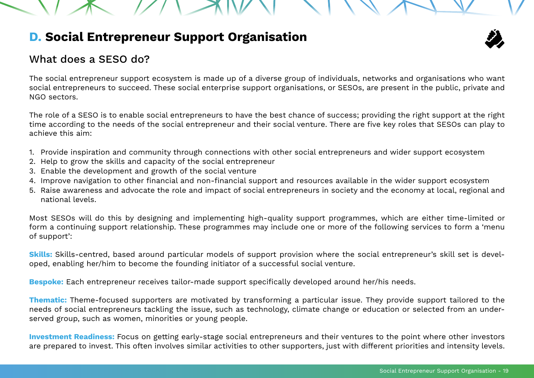# <span id="page-18-0"></span>**D. Social Entrepreneur Support Organisation**

# What does a SESO do?

The social entrepreneur support ecosystem is made up of a diverse group of individuals, networks and organisations who want social entrepreneurs to succeed. These social enterprise support organisations, or SESOs, are present in the public, private and NGO sectors.

The role of a SESO is to enable social entrepreneurs to have the best chance of success; providing the right support at the right time according to the needs of the social entrepreneur and their social venture. There are five key roles that SESOs can play to achieve this aim:

- 1. Provide inspiration and community through connections with other social entrepreneurs and wider support ecosystem
- 2. Help to grow the skills and capacity of the social entrepreneur
- 3. Enable the development and growth of the social venture
- 4. Improve navigation to other financial and non-financial support and resources available in the wider support ecosystem
- 5. Raise awareness and advocate the role and impact of social entrepreneurs in society and the economy at local, regional and national levels.

Most SESOs will do this by designing and implementing high-quality support programmes, which are either time-limited or form a continuing support relationship. These programmes may include one or more of the following services to form a 'menu of support':

**Skills:** Skills-centred, based around particular models of support provision where the social entrepreneur's skill set is developed, enabling her/him to become the founding initiator of a successful social venture.

**Bespoke:** Each entrepreneur receives tailor-made support specifically developed around her/his needs.

**Thematic:** Theme-focused supporters are motivated by transforming a particular issue. They provide support tailored to the needs of social entrepreneurs tackling the issue, such as technology, climate change or education or selected from an underserved group, such as women, minorities or young people.

**Investment Readiness:** Focus on getting early-stage social entrepreneurs and their ventures to the point where other investors are prepared to invest. This often involves similar activities to other supporters, just with different priorities and intensity levels.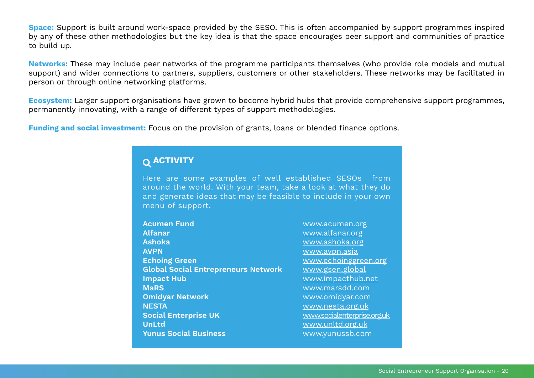<span id="page-19-0"></span>**Space:** Support is built around work-space provided by the SESO. This is often accompanied by support programmes inspired by any of these other methodologies but the key idea is that the space encourages peer support and communities of practice to build up.

**Networks:** These may include peer networks of the programme participants themselves (who provide role models and mutual support) and wider connections to partners, suppliers, customers or other stakeholders. These networks may be facilitated in person or through online networking platforms.

**Ecosystem:** Larger support organisations have grown to become hybrid hubs that provide comprehensive support programmes, permanently innovating, with a range of different types of support methodologies.

**Funding and social investment:** Focus on the provision of grants, loans or blended finance options.

# **ACTIVITY**

Here are some examples of well established SESOs from around the world. With your team, take a look at what they do and generate ideas that may be feasible to include in your own menu of support.

**Acumen Fund [www.acumen.org](https://www.acumen.org) Alfanar** [www.alfanar.org](https://www.alfanar.org) **Ashoka** [www.ashoka.org](https://www.ashoka.org) **AVPN** [www.avpn.asia](https://www.avpn.asia) **Echoing Green WALK CONSERVING CONSERVANCE CONSERVANCE CONSERVANCE CONSERVANCE CONSERVANCE CONSERVANCE CONSERVANCE Global Social Entrepreneurs Network** [www.gsen.global](http://www.gsen.global) **Impact Hub** [www.impacthub.net](https://www.impacthub.net) **MaRS** [www.marsdd.com](https://www.marsdd.com) **Omidyar Network** [www.omidyar.com](https://www.omidyar.com) **NESTA** [www.nesta.org.uk](https://www.nesta.org.uk) **Social Enterprise UK** [www.socialenterprise.org.uk](https://www.socialenterprise.org.uk) **UnLtd** [www.unltd.org.uk](https://www.unltd.org.uk) **Yunus Social Business** William Municipal Williams Williams Williams Williams Williams Williams Williams Williams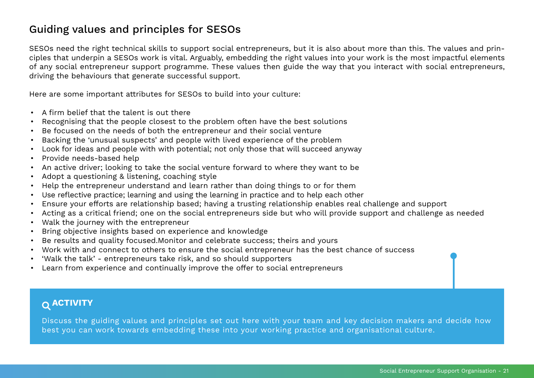# <span id="page-20-0"></span>Guiding values and principles for SESOs

SESOs need the right technical skills to support social entrepreneurs, but it is also about more than this. The values and principles that underpin a SESOs work is vital. Arguably, embedding the right values into your work is the most impactful elements of any social entrepreneur support programme. These values then guide the way that you interact with social entrepreneurs, driving the behaviours that generate successful support.

Here are some important attributes for SESOs to build into your culture:

- A firm belief that the talent is out there
- Recognising that the people closest to the problem often have the best solutions
- Be focused on the needs of both the entrepreneur and their social venture
- Backing the 'unusual suspects' and people with lived experience of the problem
- Look for ideas and people with with potential; not only those that will succeed anyway
- Provide needs-based help
- An active driver; looking to take the social venture forward to where they want to be
- Adopt a questioning & listening, coaching style
- Help the entrepreneur understand and learn rather than doing things to or for them
- Use reflective practice; learning and using the learning in practice and to help each other
- Ensure your efforts are relationship based; having a trusting relationship enables real challenge and support
- Acting as a critical friend; one on the social entrepreneurs side but who will provide support and challenge as needed
- Walk the journey with the entrepreneur
- Bring objective insights based on experience and knowledge
- Be results and quality focused.Monitor and celebrate success; theirs and yours
- Work with and connect to others to ensure the social entrepreneur has the best chance of success
- 'Walk the talk' entrepreneurs take risk, and so should supporters
- Learn from experience and continually improve the offer to social entrepreneurs

# **ACTIVITY**

Discuss the guiding values and principles set out here with your team and key decision makers and decide how best you can work towards embedding these into your working practice and organisational culture.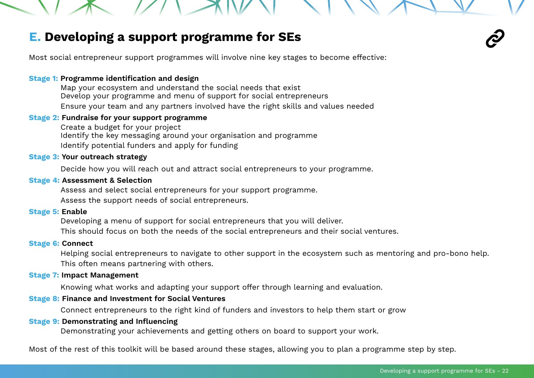# <span id="page-21-0"></span>**E. Developing a support programme for SEs**

Most social entrepreneur support programmes will involve nine key stages to become effective:

#### **Stage 1: Programme identification and design**

Map your ecosystem and understand the social needs that exist Develop your programme and menu of support for social entrepreneurs Ensure your team and any partners involved have the right skills and values needed

### **Stage 2: Fundraise for your support programme**

Create a budget for your project Identify the key messaging around your organisation and programme Identify potential funders and apply for funding

#### **Stage 3: Your outreach strategy**

Decide how you will reach out and attract social entrepreneurs to your programme.

### **Stage 4: Assessment & Selection**

Assess and select social entrepreneurs for your support programme. Assess the support needs of social entrepreneurs.

#### **Stage 5: Enable**

Developing a menu of support for social entrepreneurs that you will deliver. This should focus on both the needs of the social entrepreneurs and their social ventures.

#### **Stage 6: Connect**

Helping social entrepreneurs to navigate to other support in the ecosystem such as mentoring and pro-bono help. This often means partnering with others.

#### **Stage 7: Impact Management**

Knowing what works and adapting your support offer through learning and evaluation.

#### **Stage 8: Finance and Investment for Social Ventures**

Connect entrepreneurs to the right kind of funders and investors to help them start or grow

#### **Stage 9: Demonstrating and Influencing**

Demonstrating your achievements and getting others on board to support your work.

Most of the rest of this toolkit will be based around these stages, allowing you to plan a programme step by step.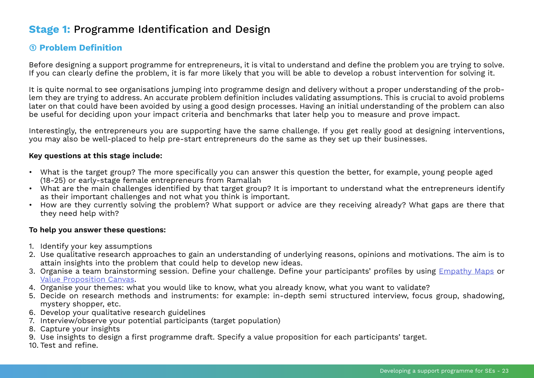# <span id="page-22-0"></span>**Stage 1:** Programme Identification and Design

# **➀ Problem Definition**

Before designing a support programme for entrepreneurs, it is vital to understand and define the problem you are trying to solve. If you can clearly define the problem, it is far more likely that you will be able to develop a robust intervention for solving it.

It is quite normal to see organisations jumping into programme design and delivery without a proper understanding of the problem they are trying to address. An accurate problem definition includes validating assumptions. This is crucial to avoid problems later on that could have been avoided by using a good design processes. Having an initial understanding of the problem can also be useful for deciding upon your impact criteria and benchmarks that later help you to measure and prove impact.

Interestingly, the entrepreneurs you are supporting have the same challenge. If you get really good at designing interventions, you may also be well-placed to help pre-start entrepreneurs do the same as they set up their businesses.

#### **Key questions at this stage include:**

- What is the target group? The more specifically you can answer this question the better, for example, young people aged (18-25) or early-stage female entrepreneurs from Ramallah
- What are the main challenges identified by that target group? It is important to understand what the entrepreneurs identify as their important challenges and not what you think is important.
- How are they currently solving the problem? What support or advice are they receiving already? What gaps are there that they need help with?

#### **To help you answer these questions:**

- 1. Identify your key assumptions
- 2. Use qualitative research approaches to gain an understanding of underlying reasons, opinions and motivations. The aim is to attain insights into the problem that could help to develop new ideas.
- 3. Organise a team brainstorming session. Define your challenge. Define your participants' profiles by using *[Empathy Maps](https://gamestorming.com/empathy-mapping/)* or [Value Proposition Canvas.](https://www.strategyzer.com/canvas/value-proposition-canvas)
- 4. Organise your themes: what you would like to know, what you already know, what you want to validate?
- 5. Decide on research methods and instruments: for example: in-depth semi structured interview, focus group, shadowing, mystery shopper, etc.
- 6. Develop your qualitative research guidelines
- 7. Interview/observe your potential participants (target population)
- 8. Capture your insights
- 9. Use insights to design a first programme draft. Specify a value proposition for each participants' target.
- 10. Test and refine.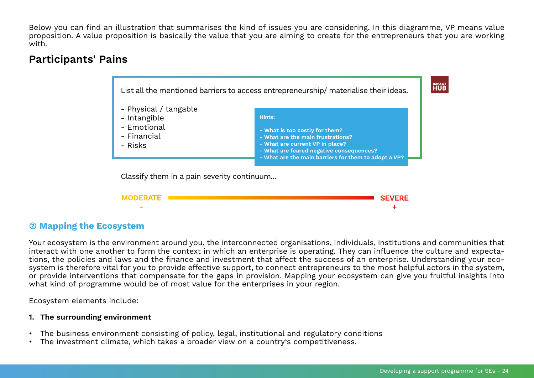Below you can find an illustration that summarises the kind of issues you are considering. In this diagramme, VP means value proposition. A value proposition is basically the value that you are aiming to create for the entrepreneurs that you are working with.

# **Participants' Pains**



# **(2) Mapping the Ecosystem**

Your ecosystem is the environment around you, the interconnected organisations, individuals, institutions and communities that interact with one another to form the context in which an enterprise is operating. They can influence the culture and expectations, the policies and laws and the finance and investment that affect the success of an enterprise. Understanding your ecosystem is therefore vital for you to provide effective support, to connect entrepreneurs to the most helpful actors in the system, or provide interventions that compensate for the gaps in provision. Mapping your ecosystem can give you fruitful insights into what kind of programme would be of most value for the enterprises in your region.

Ecosystem elements include:

### **1. The surrounding environment**

- The business environment consisting of policy, legal, institutional and regulatory conditions
- The investment climate, which takes a broader view on a country's competitiveness.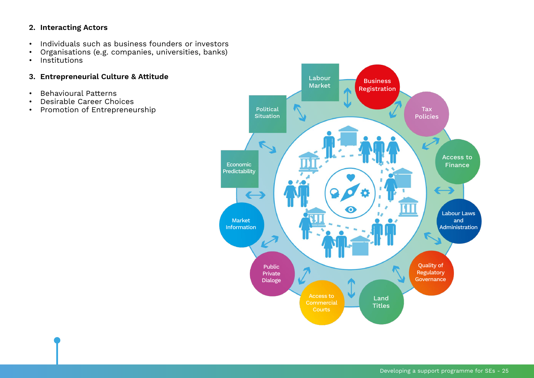### **2. Interacting Actors**

- Individuals such as business founders or investors
- Organisations (e.g. companies, universities, banks)
- Institutions

### **3. Entrepreneurial Culture & Attitude**

- Behavioural Patterns
- Desirable Career Choices<br>• Promotion of Entrepreneu
- Promotion of Entrepreneurship

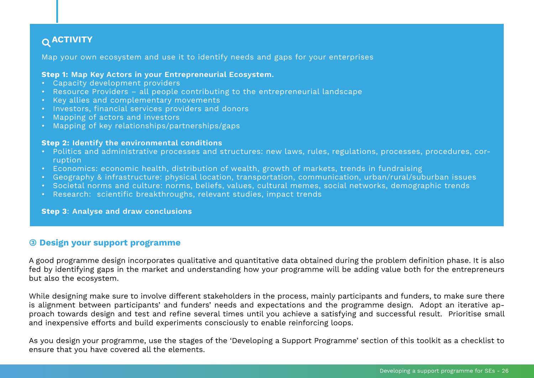# <span id="page-25-0"></span> **ACTIVITY**

Map your own ecosystem and use it to identify needs and gaps for your enterprises

#### **Step 1: Map Key Actors in your Entrepreneurial Ecosystem.**

- Capacity development providers
- Resource Providers all people contributing to the entrepreneurial landscape
- Key allies and complementary movements
- Investors, financial services providers and donors
- Mapping of actors and investors
- Mapping of key relationships/partnerships/gaps

#### **Step 2: Identify the environmental conditions**

- Politics and administrative processes and structures: new laws, rules, regulations, processes, procedures, corruption
- Economics: economic health, distribution of wealth, growth of markets, trends in fundraising
- Geography & infrastructure: physical location, transportation, communication, urban/rural/suburban issues
- Societal norms and culture: norms, beliefs, values, cultural memes, social networks, demographic trends
- Research: scientific breakthroughs, relevant studies, impact trends

#### **Step 3**: **Analyse and draw conclusions**

### **(3) Design your support programme**

A good programme design incorporates qualitative and quantitative data obtained during the problem definition phase. It is also fed by identifying gaps in the market and understanding how your programme will be adding value both for the entrepreneurs but also the ecosystem.

While designing make sure to involve different stakeholders in the process, mainly participants and funders, to make sure there is alignment between participants' and funders' needs and expectations and the programme design. Adopt an iterative approach towards design and test and refine several times until you achieve a satisfying and successful result. Prioritise small and inexpensive efforts and build experiments consciously to enable reinforcing loops.

As you design your programme, use the stages of the 'Developing a Support Programme' section of this toolkit as a checklist to ensure that you have covered all the elements.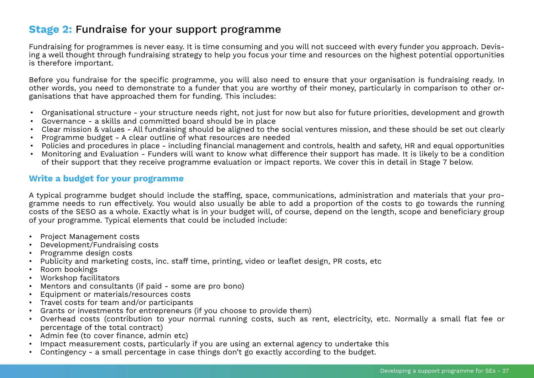# <span id="page-26-0"></span>**Stage 2:** Fundraise for your support programme

Fundraising for programmes is never easy. It is time consuming and you will not succeed with every funder you approach. Devising a well thought through fundraising strategy to help you focus your time and resources on the highest potential opportunities is therefore important.

Before you fundraise for the specific programme, you will also need to ensure that your organisation is fundraising ready. In other words, you need to demonstrate to a funder that you are worthy of their money, particularly in comparison to other organisations that have approached them for funding. This includes:

- Organisational structure your structure needs right, not just for now but also for future priorities, development and growth
- Governance a skills and committed board should be in place
- Clear mission & values All fundraising should be aligned to the social ventures mission, and these should be set out clearly
- Programme budget A clear outline of what resources are needed
- Policies and procedures in place including financial management and controls, health and safety, HR and equal opportunities
- Monitoring and Evaluation Funders will want to know what difference their support has made. It is likely to be a condition of their support that they receive programme evaluation or impact reports. We cover this in detail in Stage 7 below.

### **Write a budget for your programme**

A typical programme budget should include the staffing, space, communications, administration and materials that your programme needs to run effectively. You would also usually be able to add a proportion of the costs to go towards the running costs of the SESO as a whole. Exactly what is in your budget will, of course, depend on the length, scope and beneficiary group of your programme. Typical elements that could be included include:

- Project Management costs
- Development/Fundraising costs
- Programme design costs
- Publicity and marketing costs, inc. staff time, printing, video or leaflet design, PR costs, etc
- Room bookings
- Workshop facilitators
- Mentors and consultants (if paid some are pro bono)
- Equipment or materials/resources costs
- Travel costs for team and/or participants
- Grants or investments for entrepreneurs (if you choose to provide them)
- Overhead costs (contribution to your normal running costs, such as rent, electricity, etc. Normally a small flat fee or percentage of the total contract)
- Admin fee (to cover finance, admin etc)
- Impact measurement costs, particularly if you are using an external agency to undertake this
- Contingency a small percentage in case things don't go exactly according to the budget.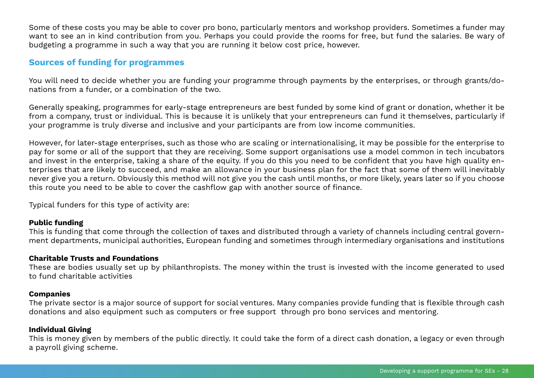Some of these costs you may be able to cover pro bono, particularly mentors and workshop providers. Sometimes a funder may want to see an in kind contribution from you. Perhaps you could provide the rooms for free, but fund the salaries. Be wary of budgeting a programme in such a way that you are running it below cost price, however.

### **Sources of funding for programmes**

You will need to decide whether you are funding your programme through payments by the enterprises, or through grants/donations from a funder, or a combination of the two.

Generally speaking, programmes for early-stage entrepreneurs are best funded by some kind of grant or donation, whether it be from a company, trust or individual. This is because it is unlikely that your entrepreneurs can fund it themselves, particularly if your programme is truly diverse and inclusive and your participants are from low income communities.

However, for later-stage enterprises, such as those who are scaling or internationalising, it may be possible for the enterprise to pay for some or all of the support that they are receiving. Some support organisations use a model common in tech incubators and invest in the enterprise, taking a share of the equity. If you do this you need to be confident that you have high quality enterprises that are likely to succeed, and make an allowance in your business plan for the fact that some of them will inevitably never give you a return. Obviously this method will not give you the cash until months, or more likely, years later so if you choose this route you need to be able to cover the cashflow gap with another source of finance.

Typical funders for this type of activity are:

### **Public funding**

This is funding that come through the collection of taxes and distributed through a variety of channels including central government departments, municipal authorities, European funding and sometimes through intermediary organisations and institutions

### **Charitable Trusts and Foundations**

These are bodies usually set up by philanthropists. The money within the trust is invested with the income generated to used to fund charitable activities

#### **Companies**

The private sector is a major source of support for social ventures. Many companies provide funding that is flexible through cash donations and also equipment such as computers or free support through pro bono services and mentoring.

### **Individual Giving**

This is money given by members of the public directly. It could take the form of a direct cash donation, a legacy or even through a payroll giving scheme.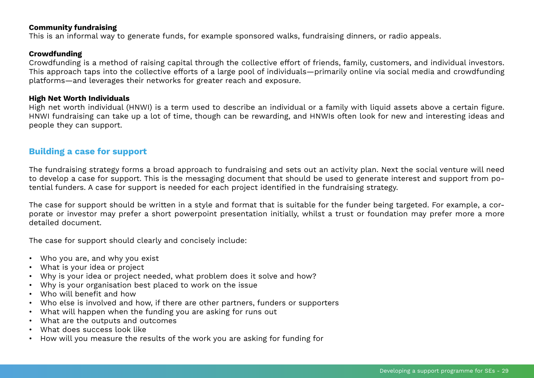#### **Community fundraising**

This is an informal way to generate funds, for example sponsored walks, fundraising dinners, or radio appeals.

#### **Crowdfunding**

Crowdfunding is a method of raising capital through the collective effort of friends, family, customers, and individual investors. This approach taps into the collective efforts of a large pool of individuals—primarily online via social media and crowdfunding platforms—and leverages their networks for greater reach and exposure.

#### **High Net Worth Individuals**

High net worth individual (HNWI) is a term used to describe an individual or a family with liquid assets above a certain figure. HNWI fundraising can take up a lot of time, though can be rewarding, and HNWIs often look for new and interesting ideas and people they can support.

### **Building a case for support**

The fundraising strategy forms a broad approach to fundraising and sets out an activity plan. Next the social venture will need to develop a case for support. This is the messaging document that should be used to generate interest and support from potential funders. A case for support is needed for each project identified in the fundraising strategy.

The case for support should be written in a style and format that is suitable for the funder being targeted. For example, a corporate or investor may prefer a short powerpoint presentation initially, whilst a trust or foundation may prefer more a more detailed document.

The case for support should clearly and concisely include:

- Who you are, and why you exist
- What is your idea or project
- Why is your idea or project needed, what problem does it solve and how?
- Why is your organisation best placed to work on the issue
- Who will benefit and how
- Who else is involved and how, if there are other partners, funders or supporters
- What will happen when the funding you are asking for runs out
- What are the outputs and outcomes
- What does success look like
- How will you measure the results of the work you are asking for funding for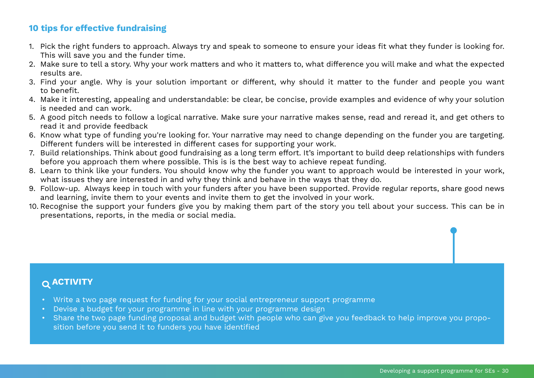# <span id="page-29-0"></span>**10 tips for effective fundraising**

- 1. Pick the right funders to approach. Always try and speak to someone to ensure your ideas fit what they funder is looking for. This will save you and the funder time.
- 2. Make sure to tell a story. Why your work matters and who it matters to, what difference you will make and what the expected results are.
- 3. Find your angle. Why is your solution important or different, why should it matter to the funder and people you want to benefit.
- 4. Make it interesting, appealing and understandable: be clear, be concise, provide examples and evidence of why your solution is needed and can work.
- 5. A good pitch needs to follow a logical narrative. Make sure your narrative makes sense, read and reread it, and get others to read it and provide feedback
- 6. Know what type of funding you're looking for. Your narrative may need to change depending on the funder you are targeting. Different funders will be interested in different cases for supporting your work.
- 7. Build relationships. Think about good fundraising as a long term effort. It's important to build deep relationships with funders before you approach them where possible. This is is the best way to achieve repeat funding.
- 8. Learn to think like your funders. You should know why the funder you want to approach would be interested in your work, what issues they are interested in and why they think and behave in the ways that they do.
- 9. Follow-up. Always keep in touch with your funders after you have been supported. Provide regular reports, share good news and learning, invite them to your events and invite them to get the involved in your work.
- 10. Recognise the support your funders give you by making them part of the story you tell about your success. This can be in presentations, reports, in the media or social media.

# **ACTIVITY**

- Write a two page request for funding for your social entrepreneur support programme
- Devise a budget for your programme in line with your programme design
- Share the two page funding proposal and budget with people who can give you feedback to help improve you proposition before you send it to funders you have identified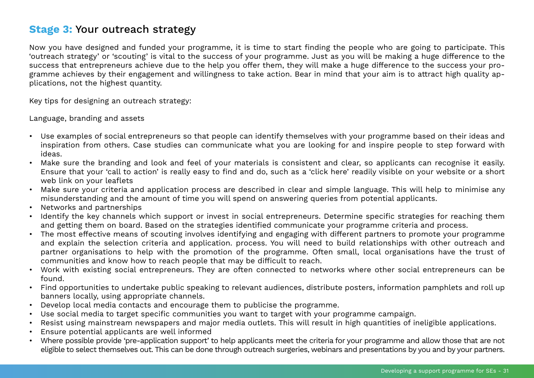# <span id="page-30-0"></span>**Stage 3:** Your outreach strategy

Now you have designed and funded your programme, it is time to start finding the people who are going to participate. This 'outreach strategy' or 'scouting' is vital to the success of your programme. Just as you will be making a huge difference to the success that entrepreneurs achieve due to the help you offer them, they will make a huge difference to the success your programme achieves by their engagement and willingness to take action. Bear in mind that your aim is to attract high quality applications, not the highest quantity.

Key tips for designing an outreach strategy:

Language, branding and assets

- Use examples of social entrepreneurs so that people can identify themselves with your programme based on their ideas and inspiration from others. Case studies can communicate what you are looking for and inspire people to step forward with ideas.
- Make sure the branding and look and feel of your materials is consistent and clear, so applicants can recognise it easily. Ensure that your 'call to action' is really easy to find and do, such as a 'click here' readily visible on your website or a short web link on your leaflets
- Make sure your criteria and application process are described in clear and simple language. This will help to minimise any misunderstanding and the amount of time you will spend on answering queries from potential applicants.
- Networks and partnerships
- Identify the key channels which support or invest in social entrepreneurs. Determine specific strategies for reaching them and getting them on board. Based on the strategies identified communicate your programme criteria and process.
- The most effective means of scouting involves identifying and engaging with different partners to promote your programme and explain the selection criteria and application. process. You will need to build relationships with other outreach and partner organisations to help with the promotion of the programme. Often small, local organisations have the trust of communities and know how to reach people that may be difficult to reach.
- Work with existing social entrepreneurs. They are often connected to networks where other social entrepreneurs can be found.
- Find opportunities to undertake public speaking to relevant audiences, distribute posters, information pamphlets and roll up banners locally, using appropriate channels.
- Develop local media contacts and encourage them to publicise the programme.
- Use social media to target specific communities you want to target with your programme campaign.
- Resist using mainstream newspapers and major media outlets. This will result in high quantities of ineligible applications.
- Ensure potential applicants are well informed
- Where possible provide 'pre-application support' to help applicants meet the criteria for your programme and allow those that are not eligible to select themselves out. This can be done through outreach surgeries, webinars and presentations by you and by your partners.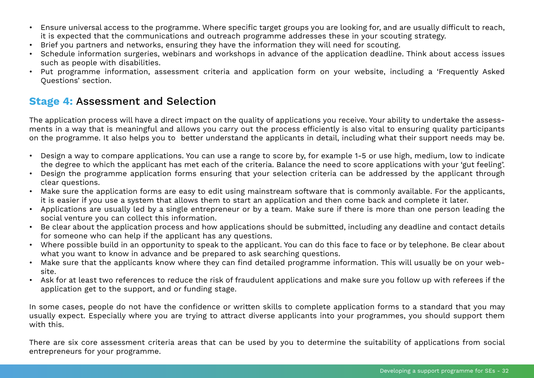- <span id="page-31-0"></span>• Ensure universal access to the programme. Where specific target groups you are looking for, and are usually difficult to reach, it is expected that the communications and outreach programme addresses these in your scouting strategy.
- Brief you partners and networks, ensuring they have the information they will need for scouting.
- Schedule information surgeries, webinars and workshops in advance of the application deadline. Think about access issues such as people with disabilities.
- Put programme information, assessment criteria and application form on your website, including a 'Frequently Asked Questions' section.

# **Stage 4:** Assessment and Selection

The application process will have a direct impact on the quality of applications you receive. Your ability to undertake the assessments in a way that is meaningful and allows you carry out the process efficiently is also vital to ensuring quality participants on the programme. It also helps you to better understand the applicants in detail, including what their support needs may be.

- Design a way to compare applications. You can use a range to score by, for example 1-5 or use high, medium, low to indicate the degree to which the applicant has met each of the criteria. Balance the need to score applications with your 'gut feeling'.
- Design the programme application forms ensuring that your selection criteria can be addressed by the applicant through clear questions.
- Make sure the application forms are easy to edit using mainstream software that is commonly available. For the applicants, it is easier if you use a system that allows them to start an application and then come back and complete it later.
- Applications are usually led by a single entrepreneur or by a team. Make sure if there is more than one person leading the social venture you can collect this information.
- Be clear about the application process and how applications should be submitted, including any deadline and contact details for someone who can help if the applicant has any questions.
- Where possible build in an opportunity to speak to the applicant. You can do this face to face or by telephone. Be clear about what you want to know in advance and be prepared to ask searching questions.
- Make sure that the applicants know where they can find detailed programme information. This will usually be on your website.
- Ask for at least two references to reduce the risk of fraudulent applications and make sure you follow up with referees if the application get to the support, and or funding stage.

In some cases, people do not have the confidence or written skills to complete application forms to a standard that you may usually expect. Especially where you are trying to attract diverse applicants into your programmes, you should support them with this.

There are six core assessment criteria areas that can be used by you to determine the suitability of applications from social entrepreneurs for your programme.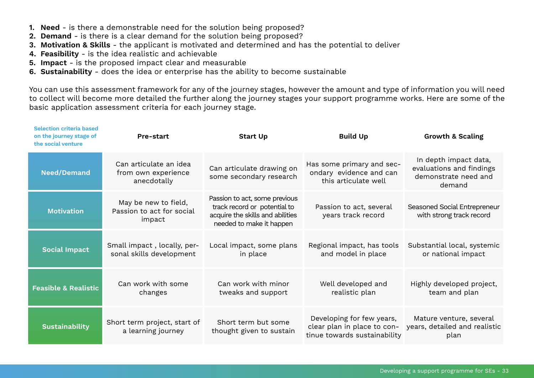- **1. Need** is there a demonstrable need for the solution being proposed?
- **2. Demand** is there is a clear demand for the solution being proposed?
- **3. Motivation & Skills** the applicant is motivated and determined and has the potential to deliver
- **4. Feasibility** is the idea realistic and achievable
- **5. Impact** is the proposed impact clear and measurable
- **6. Sustainability** does the idea or enterprise has the ability to become sustainable

You can use this assessment framework for any of the journey stages, however the amount and type of information you will need to collect will become more detailed the further along the journey stages your support programme works. Here are some of the basic application assessment criteria for each journey stage.

| <b>Selection criteria based</b><br>on the journey stage of<br>the social venture | Pre-start                                                    | <b>Start Up</b>                                                                                                               | <b>Build Up</b>                                                                          | <b>Growth &amp; Scaling</b>                                                         |
|----------------------------------------------------------------------------------|--------------------------------------------------------------|-------------------------------------------------------------------------------------------------------------------------------|------------------------------------------------------------------------------------------|-------------------------------------------------------------------------------------|
| <b>Need/Demand</b>                                                               | Can articulate an idea<br>from own experience<br>anecdotally | Can articulate drawing on<br>some secondary research                                                                          | Has some primary and sec-<br>ondary evidence and can<br>this articulate well             | In depth impact data,<br>evaluations and findings<br>demonstrate need and<br>demand |
| <b>Motivation</b>                                                                | May be new to field,<br>Passion to act for social<br>impact  | Passion to act, some previous<br>track record or potential to<br>acquire the skills and abilities<br>needed to make it happen | Passion to act, several<br>years track record                                            | Seasoned Social Entrepreneur<br>with strong track record                            |
| <b>Social Impact</b>                                                             | Small impact, locally, per-<br>sonal skills development      | Local impact, some plans<br>in place                                                                                          | Regional impact, has tools<br>and model in place                                         | Substantial local, systemic<br>or national impact                                   |
| <b>Feasible &amp; Realistic</b>                                                  | Can work with some<br>changes                                | Can work with minor<br>tweaks and support                                                                                     | Well developed and<br>realistic plan                                                     | Highly developed project,<br>team and plan                                          |
| <b>Sustainability</b>                                                            | Short term project, start of<br>a learning journey           | Short term but some<br>thought given to sustain                                                                               | Developing for few years,<br>clear plan in place to con-<br>tinue towards sustainability | Mature venture, several<br>years, detailed and realistic<br>plan                    |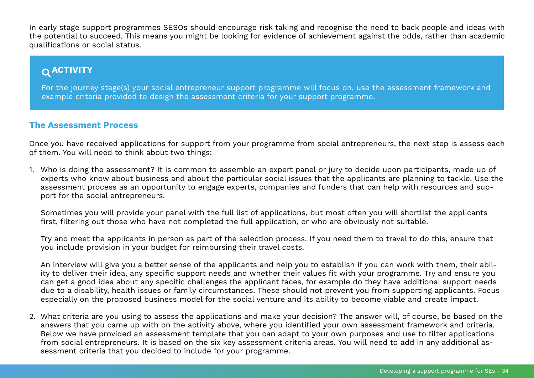<span id="page-33-0"></span>In early stage support programmes SESOs should encourage risk taking and recognise the need to back people and ideas with the potential to succeed. This means you might be looking for evidence of achievement against the odds, rather than academic qualifications or social status.

# **ACTIVITY**

For the journey stage(s) your social entrepreneur support programme will focus on, use the assessment framework and example criteria provided to design the assessment criteria for your support programme.

### **The Assessment Process**

Once you have received applications for support from your programme from social entrepreneurs, the next step is assess each of them. You will need to think about two things:

1. Who is doing the assessment? It is common to assemble an expert panel or jury to decide upon participants, made up of experts who know about business and about the particular social issues that the applicants are planning to tackle. Use the assessment process as an opportunity to engage experts, companies and funders that can help with resources and support for the social entrepreneurs.

Sometimes you will provide your panel with the full list of applications, but most often you will shortlist the applicants first, filtering out those who have not completed the full application, or who are obviously not suitable.

Try and meet the applicants in person as part of the selection process. If you need them to travel to do this, ensure that you include provision in your budget for reimbursing their travel costs.

An interview will give you a better sense of the applicants and help you to establish if you can work with them, their ability to deliver their idea, any specific support needs and whether their values fit with your programme. Try and ensure you can get a good idea about any specific challenges the applicant faces, for example do they have additional support needs due to a disability, health issues or family circumstances. These should not prevent you from supporting applicants. Focus especially on the proposed business model for the social venture and its ability to become viable and create impact.

2. What criteria are you using to assess the applications and make your decision? The answer will, of course, be based on the answers that you came up with on the activity above, where you identified your own assessment framework and criteria. Below we have provided an assessment template that you can adapt to your own purposes and use to filter applications from social entrepreneurs. It is based on the six key assessment criteria areas. You will need to add in any additional assessment criteria that you decided to include for your programme.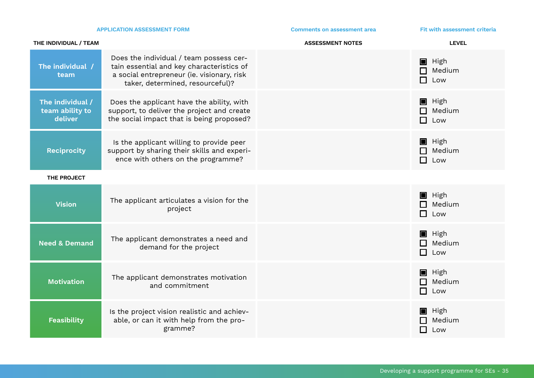|                                                | <b>APPLICATION ASSESSMENT FORM</b>                                                                                                                                     | <b>Comments on assessment area</b> | Fit with assessment criteria                       |
|------------------------------------------------|------------------------------------------------------------------------------------------------------------------------------------------------------------------------|------------------------------------|----------------------------------------------------|
| THE INDIVIDUAL / TEAM                          |                                                                                                                                                                        | <b>ASSESSMENT NOTES</b>            | <b>LEVEL</b>                                       |
| The individual /<br>team                       | Does the individual / team possess cer-<br>tain essential and key characteristics of<br>a social entrepreneur (ie. visionary, risk<br>taker, determined, resourceful)? |                                    | $\blacksquare$ High<br>$\Box$ Medium<br>$\Box$ Low |
| The individual /<br>team ability to<br>deliver | Does the applicant have the ability, with<br>support, to deliver the project and create<br>the social impact that is being proposed?                                   |                                    | $\blacksquare$ High<br>$\Box$ Medium<br>$\Box$ Low |
| <b>Reciprocity</b>                             | Is the applicant willing to provide peer<br>support by sharing their skills and experi-<br>ence with others on the programme?                                          |                                    | $\blacksquare$ High<br>$\Box$ Medium<br>$\Box$ Low |
| THE PROJECT                                    |                                                                                                                                                                        |                                    |                                                    |
| <b>Vision</b>                                  | The applicant articulates a vision for the<br>project                                                                                                                  |                                    | $\blacksquare$ High<br>$\Box$ Medium<br>$\Box$ Low |
| <b>Need &amp; Demand</b>                       | The applicant demonstrates a need and<br>demand for the project                                                                                                        |                                    | $\blacksquare$ High<br>$\Box$ Medium<br>$\Box$ Low |
| <b>Motivation</b>                              | The applicant demonstrates motivation<br>and commitment                                                                                                                |                                    | $\blacksquare$ High<br>$\Box$ Medium<br>$\Box$ Low |
| <b>Feasibility</b>                             | Is the project vision realistic and achiev-<br>able, or can it with help from the pro-<br>gramme?                                                                      |                                    | $\blacksquare$ High<br>Medium<br>П<br>Low          |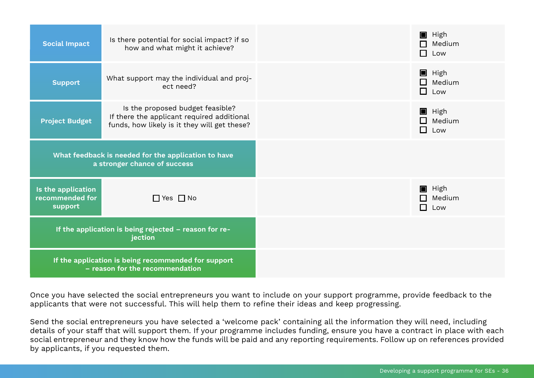| <b>Social Impact</b>                                                                   | Is there potential for social impact? if so<br>how and what might it achieve?                                                  | $\blacksquare$ High<br>$\Box$ Medium<br>$\Box$ Low |
|----------------------------------------------------------------------------------------|--------------------------------------------------------------------------------------------------------------------------------|----------------------------------------------------|
| <b>Support</b>                                                                         | What support may the individual and proj-<br>ect need?                                                                         | $\blacksquare$ High<br>$\Box$ Medium<br>$\Box$ Low |
| <b>Project Budget</b>                                                                  | Is the proposed budget feasible?<br>If there the applicant required additional<br>funds, how likely is it they will get these? | $\blacksquare$ High<br>$\Box$ Medium<br>$\Box$ Low |
|                                                                                        | What feedback is needed for the application to have<br>a stronger chance of success                                            |                                                    |
| Is the application<br>recommended for<br>support                                       | $\Box$ Yes $\Box$ No                                                                                                           | $\blacksquare$ High<br>$\Box$ Medium<br>$\Box$ Low |
|                                                                                        | If the application is being rejected - reason for re-<br>jection                                                               |                                                    |
| If the application is being recommended for support<br>- reason for the recommendation |                                                                                                                                |                                                    |

Once you have selected the social entrepreneurs you want to include on your support programme, provide feedback to the applicants that were not successful. This will help them to refine their ideas and keep progressing.

Send the social entrepreneurs you have selected a 'welcome pack' containing all the information they will need, including details of your staff that will support them. If your programme includes funding, ensure you have a contract in place with each social entrepreneur and they know how the funds will be paid and any reporting requirements. Follow up on references provided by applicants, if you requested them.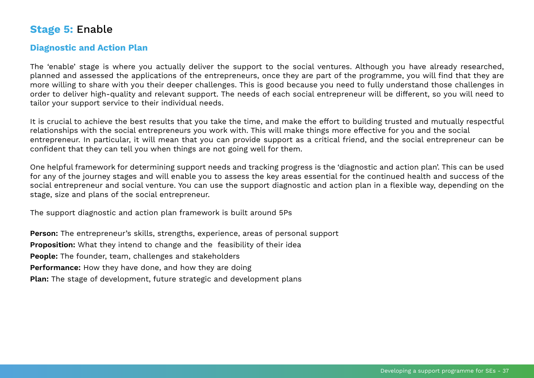# <span id="page-36-0"></span>**Stage 5:** Enable

# **Diagnostic and Action Plan**

The 'enable' stage is where you actually deliver the support to the social ventures. Although you have already researched, planned and assessed the applications of the entrepreneurs, once they are part of the programme, you will find that they are more willing to share with you their deeper challenges. This is good because you need to fully understand those challenges in order to deliver high-quality and relevant support. The needs of each social entrepreneur will be different, so you will need to tailor your support service to their individual needs.

It is crucial to achieve the best results that you take the time, and make the effort to building trusted and mutually respectful relationships with the social entrepreneurs you work with. This will make things more effective for you and the social entrepreneur. In particular, it will mean that you can provide support as a critical friend, and the social entrepreneur can be confident that they can tell you when things are not going well for them.

One helpful framework for determining support needs and tracking progress is the 'diagnostic and action plan'. This can be used for any of the journey stages and will enable you to assess the key areas essential for the continued health and success of the social entrepreneur and social venture. You can use the support diagnostic and action plan in a flexible way, depending on the stage, size and plans of the social entrepreneur.

The support diagnostic and action plan framework is built around 5Ps

**Person:** The entrepreneur's skills, strengths, experience, areas of personal support **Proposition:** What they intend to change and the feasibility of their idea **People:** The founder, team, challenges and stakeholders **Performance:** How they have done, and how they are doing **Plan:** The stage of development, future strategic and development plans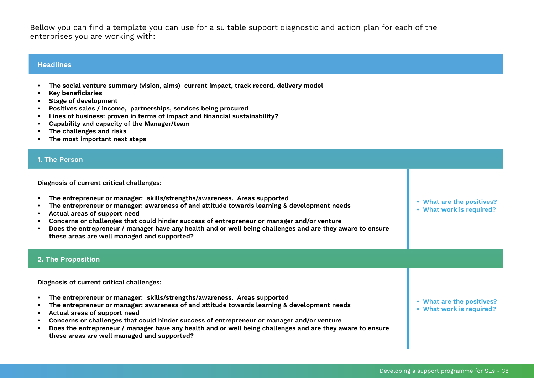Bellow you can find a template you can use for a suitable support diagnostic and action plan for each of the enterprises you are working with:

#### **Headlines**

**• The social venture summary (vision, aims) current impact, track record, delivery model**

**• Concerns or challenges that could hinder success of entrepreneur or manager and/or venture**

**• Does the entrepreneur / manager have any health and or well being challenges and are they aware to ensure** 

- **• Key beneficiaries**
- **• Stage of development**
- **• Positives sales / income, partnerships, services being procured**
- **• Lines of business: proven in terms of impact and financial sustainability?**
- **• Capability and capacity of the Manager/team**

**these areas are well managed and supported?**

- **• The challenges and risks**
- **• The most important next steps**

#### **1. The Person**

| Diagnosis of current critical challenges:                                                                                                                                                                                                                                                                                                                                                                                                                         |                                                       |
|-------------------------------------------------------------------------------------------------------------------------------------------------------------------------------------------------------------------------------------------------------------------------------------------------------------------------------------------------------------------------------------------------------------------------------------------------------------------|-------------------------------------------------------|
| The entrepreneur or manager: skills/strengths/awareness. Areas supported<br>The entrepreneur or manager: awareness of and attitude towards learning & development needs<br>Actual areas of support need<br>Concerns or challenges that could hinder success of entrepreneur or manager and/or venture<br>Does the entrepreneur / manager have any health and or well being challenges and are they aware to ensure<br>these areas are well managed and supported? | • What are the positives?<br>• What work is required? |
| 2. The Proposition                                                                                                                                                                                                                                                                                                                                                                                                                                                |                                                       |
| Diagnosis of current critical challenges:                                                                                                                                                                                                                                                                                                                                                                                                                         |                                                       |
| The entrepreneur or manager: skills/strengths/awareness. Areas supported<br>The entrepreneur or manager: awareness of and attitude towards learning & development needs<br>Actual areas of support need                                                                                                                                                                                                                                                           | • What are the positives?<br>• What work is required? |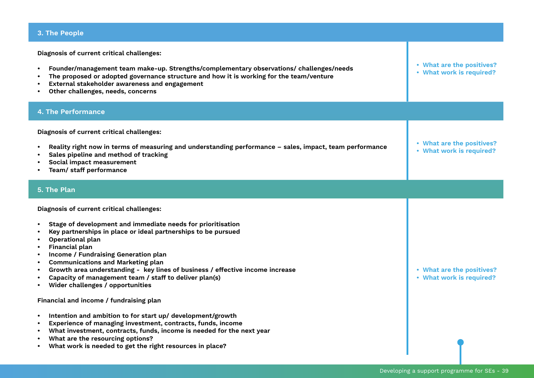# **3. The People**

**Diagnosis of current critical challenges:**

| Founder/management team make-up. Strengths/complementary observations/ challenges/needs<br>$\bullet$<br>The proposed or adopted governance structure and how it is working for the team/venture<br>External stakeholder awareness and engagement<br>Other challenges, needs, concerns                                                                                                                                                                                                           | • What are the positives?<br>• What work is required? |
|-------------------------------------------------------------------------------------------------------------------------------------------------------------------------------------------------------------------------------------------------------------------------------------------------------------------------------------------------------------------------------------------------------------------------------------------------------------------------------------------------|-------------------------------------------------------|
| <b>4. The Performance</b>                                                                                                                                                                                                                                                                                                                                                                                                                                                                       |                                                       |
| Diagnosis of current critical challenges:<br>Reality right now in terms of measuring and understanding performance - sales, impact, team performance<br>Sales pipeline and method of tracking<br>Social impact measurement<br>Team/ staff performance                                                                                                                                                                                                                                           | • What are the positives?<br>• What work is required? |
| 5. The Plan                                                                                                                                                                                                                                                                                                                                                                                                                                                                                     |                                                       |
| Diagnosis of current critical challenges:<br>Stage of development and immediate needs for prioritisation<br>Key partnerships in place or ideal partnerships to be pursued<br>Operational plan<br>Financial plan<br>Income / Fundraising Generation plan<br><b>Communications and Marketing plan</b><br>Growth area understanding - key lines of business / effective income increase<br>$\bullet$<br>Capacity of management team / staff to deliver plan(s)<br>Wider challenges / opportunities | • What are the positives?<br>• What work is required? |
| Financial and income / fundraising plan<br>Intention and ambition to for start up/ development/growth<br>$\bullet$<br>Experience of managing investment, contracts, funds, income<br>What investment, contracts, funds, income is needed for the next year<br>What are the resourcing options?<br>What work is needed to get the right resources in place?                                                                                                                                      |                                                       |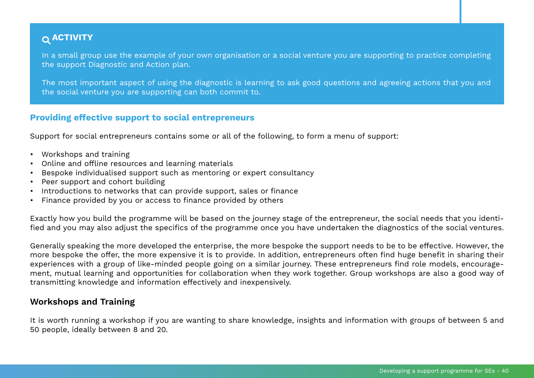# <span id="page-39-0"></span> **ACTIVITY**

In a small group use the example of your own organisation or a social venture you are supporting to practice completing the support Diagnostic and Action plan.

The most important aspect of using the diagnostic is learning to ask good questions and agreeing actions that you and the social venture you are supporting can both commit to.

### **Providing effective support to social entrepreneurs**

Support for social entrepreneurs contains some or all of the following, to form a menu of support:

- Workshops and training
- Online and offline resources and learning materials
- Bespoke individualised support such as mentoring or expert consultancy
- Peer support and cohort building
- Introductions to networks that can provide support, sales or finance
- Finance provided by you or access to finance provided by others

Exactly how you build the programme will be based on the journey stage of the entrepreneur, the social needs that you identified and you may also adjust the specifics of the programme once you have undertaken the diagnostics of the social ventures.

Generally speaking the more developed the enterprise, the more bespoke the support needs to be to be effective. However, the more bespoke the offer, the more expensive it is to provide. In addition, entrepreneurs often find huge benefit in sharing their experiences with a group of like-minded people going on a similar journey. These entrepreneurs find role models, encouragement, mutual learning and opportunities for collaboration when they work together. Group workshops are also a good way of transmitting knowledge and information effectively and inexpensively.

### **Workshops and Training**

It is worth running a workshop if you are wanting to share knowledge, insights and information with groups of between 5 and 50 people, ideally between 8 and 20.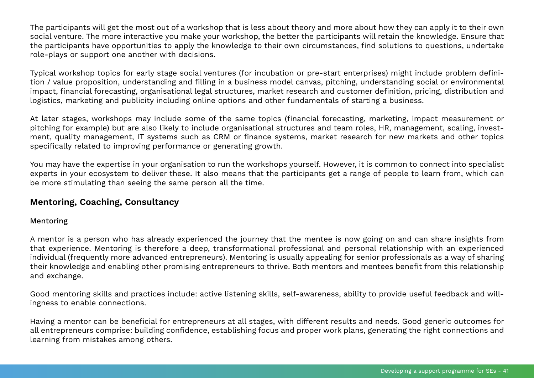The participants will get the most out of a workshop that is less about theory and more about how they can apply it to their own social venture. The more interactive you make your workshop, the better the participants will retain the knowledge. Ensure that the participants have opportunities to apply the knowledge to their own circumstances, find solutions to questions, undertake role-plays or support one another with decisions.

Typical workshop topics for early stage social ventures (for incubation or pre-start enterprises) might include problem definition / value proposition, understanding and filling in a business model canvas, pitching, understanding social or environmental impact, financial forecasting, organisational legal structures, market research and customer definition, pricing, distribution and logistics, marketing and publicity including online options and other fundamentals of starting a business.

At later stages, workshops may include some of the same topics (financial forecasting, marketing, impact measurement or pitching for example) but are also likely to include organisational structures and team roles, HR, management, scaling, investment, quality management, IT systems such as CRM or finance systems, market research for new markets and other topics specifically related to improving performance or generating growth.

You may have the expertise in your organisation to run the workshops yourself. However, it is common to connect into specialist experts in your ecosystem to deliver these. It also means that the participants get a range of people to learn from, which can be more stimulating than seeing the same person all the time.

# **Mentoring, Coaching, Consultancy**

### Mentoring

A mentor is a person who has already experienced the journey that the mentee is now going on and can share insights from that experience. Mentoring is therefore a deep, transformational professional and personal relationship with an experienced individual (frequently more advanced entrepreneurs). Mentoring is usually appealing for senior professionals as a way of sharing their knowledge and enabling other promising entrepreneurs to thrive. Both mentors and mentees benefit from this relationship and exchange.

Good mentoring skills and practices include: active listening skills, self-awareness, ability to provide useful feedback and willingness to enable connections.

Having a mentor can be beneficial for entrepreneurs at all stages, with different results and needs. Good generic outcomes for all entrepreneurs comprise: building confidence, establishing focus and proper work plans, generating the right connections and learning from mistakes among others.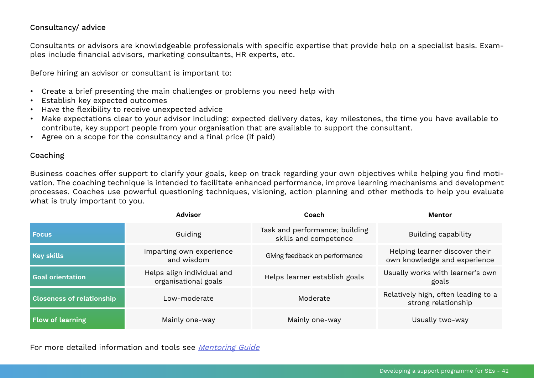### Consultancy/ advice

Consultants or advisors are knowledgeable professionals with specific expertise that provide help on a specialist basis. Examples include financial advisors, marketing consultants, HR experts, etc.

Before hiring an advisor or consultant is important to:

- Create a brief presenting the main challenges or problems you need help with
- Establish key expected outcomes
- Have the flexibility to receive unexpected advice
- Make expectations clear to your advisor including: expected delivery dates, key milestones, the time you have available to contribute, key support people from your organisation that are available to support the consultant.
- Agree on a scope for the consultancy and a final price (if paid)

#### Coaching

Business coaches offer support to clarify your goals, keep on track regarding your own objectives while helping you find motivation. The coaching technique is intended to facilitate enhanced performance, improve learning mechanisms and development processes. Coaches use powerful questioning techniques, visioning, action planning and other methods to help you evaluate what is truly important to you.

|                                  | <b>Advisor</b>                                     | Coach                                                   | <b>Mentor</b>                                                  |
|----------------------------------|----------------------------------------------------|---------------------------------------------------------|----------------------------------------------------------------|
| l Focus                          | Guiding                                            | Task and performance; building<br>skills and competence | Building capability                                            |
| <b>Key skills</b>                | Imparting own experience<br>and wisdom             | Giving feedback on performance                          | Helping learner discover their<br>own knowledge and experience |
| <b>Goal orientation</b>          | Helps align individual and<br>organisational goals | Helps learner establish goals                           | Usually works with learner's own<br>goals                      |
| <b>Closeness of relationship</b> | Low-moderate                                       | Moderate                                                | Relatively high, often leading to a<br>strong relationship     |
| <b>Flow of learning</b>          | Mainly one-way                                     | Mainly one-way                                          | Usually two-way                                                |

For more detailed information and tools see [Mentoring Guide](https://www.unltd.org.uk/uploads/general_uploads/Mentoring_guide.pdf)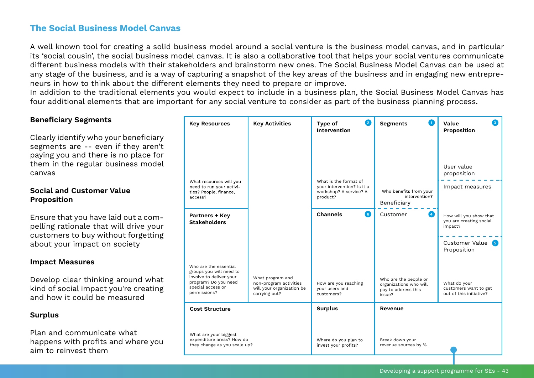# **The Social Business Model Canvas**

A well known tool for creating a solid business model around a social venture is the business model canvas, and in particular its 'social cousin', the social business model canvas. It is also a collaborative tool that helps your social ventures communicate different business models with their stakeholders and brainstorm new ones. The Social Business Model Canvas can be used at any stage of the business, and is a way of capturing a snapshot of the key areas of the business and in engaging new entrepreneurs in how to think about the different elements they need to prepare or improve.

In addition to the traditional elements you would expect to include in a business plan, the Social Business Model Canvas has four additional elements that are important for any social venture to consider as part of the business planning process.

| <b>Beneficiary Segments</b>                                                                                                                                          | <b>Key Resources</b>                                                                                            | <b>Key Activities</b>                                                                    | $\overline{2}$<br>Type of<br>Intervention                                                 | $\blacksquare$<br><b>Segments</b>                                                | Value<br>Proposition                                                                            |
|----------------------------------------------------------------------------------------------------------------------------------------------------------------------|-----------------------------------------------------------------------------------------------------------------|------------------------------------------------------------------------------------------|-------------------------------------------------------------------------------------------|----------------------------------------------------------------------------------|-------------------------------------------------------------------------------------------------|
| Clearly identify who your beneficiary<br>segments are -- even if they aren't<br>paying you and there is no place for<br>them in the regular business model<br>canvas |                                                                                                                 |                                                                                          |                                                                                           |                                                                                  | User value<br>proposition                                                                       |
| <b>Social and Customer Value</b><br>Proposition                                                                                                                      | What resources will you<br>need to run your activi-<br>ties? People, finance,<br>access?                        |                                                                                          | What is the format of<br>your intervention? Is it a<br>workshop? A service? A<br>product? | Who benefits from your<br>intervention?<br>Beneficiary                           | Impact measures                                                                                 |
| Ensure that you have laid out a com-<br>pelling rationale that will drive your<br>customers to buy without forgetting<br>about your impact on society                | Partners + Key<br><b>Stakeholders</b>                                                                           |                                                                                          | 6<br>Channels                                                                             | $\left( 4\right)$<br>Customer                                                    | How will you show that<br>you are creating social<br>impact?<br>Customer Value 5<br>Proposition |
| <b>Impact Measures</b>                                                                                                                                               | Who are the essential                                                                                           |                                                                                          |                                                                                           |                                                                                  |                                                                                                 |
| Develop clear thinking around what<br>kind of social impact you're creating<br>and how it could be measured                                                          | groups you will need to<br>involve to deliver your<br>program? Do you need<br>special access or<br>permissions? | What program and<br>non-program activities<br>will your organization be<br>carrying out? | How are you reaching<br>your users and<br>customers?                                      | Who are the people or<br>organizations who will<br>pay to address this<br>issue? | What do your<br>customers want to get<br>out of this initiative?                                |
| <b>Surplus</b>                                                                                                                                                       | <b>Cost Structure</b>                                                                                           |                                                                                          | <b>Surplus</b>                                                                            | Revenue                                                                          |                                                                                                 |
| Plan and communicate what<br>happens with profits and where you<br>aim to reinvest them                                                                              | What are your biggest<br>expenditure areas? How do<br>they change as you scale up?                              |                                                                                          | Where do you plan to<br>invest your profits?                                              | Break down your<br>revenue sources by %.                                         |                                                                                                 |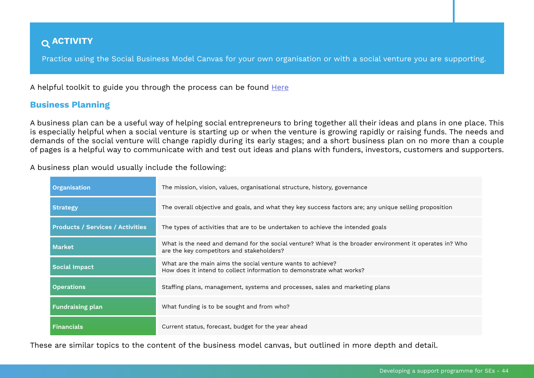# <span id="page-43-0"></span> **ACTIVITY**

Practice using the Social Business Model Canvas for your own organisation or with a social venture you are supporting.

A helpful toolkit to guide you through the process can be found [Here](https://bmtoolbox.net/tools/social-business-model-canvas/)

### **Business Planning**

A business plan can be a useful way of helping social entrepreneurs to bring together all their ideas and plans in one place. This is especially helpful when a social venture is starting up or when the venture is growing rapidly or raising funds. The needs and demands of the social venture will change rapidly during its early stages; and a short business plan on no more than a couple of pages is a helpful way to communicate with and test out ideas and plans with funders, investors, customers and supporters.

| A business plan would usually include the following: |  |
|------------------------------------------------------|--|
|------------------------------------------------------|--|

| <b>Organisation</b>                     | The mission, vision, values, organisational structure, history, governance                                                                           |
|-----------------------------------------|------------------------------------------------------------------------------------------------------------------------------------------------------|
| <b>Strategy</b>                         | The overall objective and goals, and what they key success factors are; any unique selling proposition                                               |
| <b>Products / Services / Activities</b> | The types of activities that are to be undertaken to achieve the intended goals                                                                      |
| <b>Market</b>                           | What is the need and demand for the social venture? What is the broader environment it operates in? Who<br>are the key competitors and stakeholders? |
| <b>Social Impact</b>                    | What are the main aims the social venture wants to achieve?<br>How does it intend to collect information to demonstrate what works?                  |
| <b>Operations</b>                       | Staffing plans, management, systems and processes, sales and marketing plans                                                                         |
| <b>Fundraising plan</b>                 | What funding is to be sought and from who?                                                                                                           |
| <b>Financials</b>                       | Current status, forecast, budget for the year ahead                                                                                                  |

These are similar topics to the content of the business model canvas, but outlined in more depth and detail.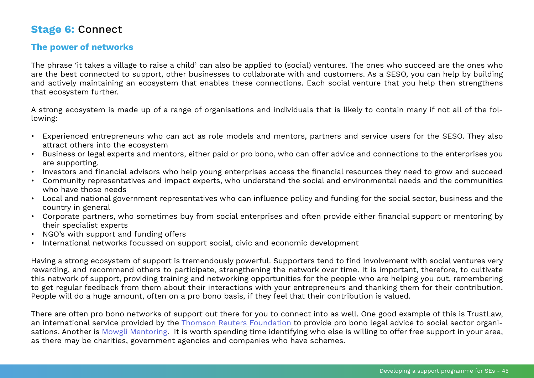# <span id="page-44-0"></span>**Stage 6:** Connect

# **The power of networks**

The phrase 'it takes a village to raise a child' can also be applied to (social) ventures. The ones who succeed are the ones who are the best connected to support, other businesses to collaborate with and customers. As a SESO, you can help by building and actively maintaining an ecosystem that enables these connections. Each social venture that you help then strengthens that ecosystem further.

A strong ecosystem is made up of a range of organisations and individuals that is likely to contain many if not all of the following:

- Experienced entrepreneurs who can act as role models and mentors, partners and service users for the SESO. They also attract others into the ecosystem
- Business or legal experts and mentors, either paid or pro bono, who can offer advice and connections to the enterprises you are supporting.
- Investors and financial advisors who help young enterprises access the financial resources they need to grow and succeed
- Community representatives and impact experts, who understand the social and environmental needs and the communities who have those needs
- Local and national government representatives who can influence policy and funding for the social sector, business and the country in general
- Corporate partners, who sometimes buy from social enterprises and often provide either financial support or mentoring by their specialist experts
- NGO's with support and funding offers
- International networks focussed on support social, civic and economic development

Having a strong ecosystem of support is tremendously powerful. Supporters tend to find involvement with social ventures very rewarding, and recommend others to participate, strengthening the network over time. It is important, therefore, to cultivate this network of support, providing training and networking opportunities for the people who are helping you out, remembering to get regular feedback from them about their interactions with your entrepreneurs and thanking them for their contribution. People will do a huge amount, often on a pro bono basis, if they feel that their contribution is valued.

There are often pro bono networks of support out there for you to connect into as well. One good example of this is TrustLaw, an international service provided by the [Thomson Reuters Foundation](http://www.trust.org/trustlaw/) to provide pro bono legal advice to social sector organisations. Another is [Mowgli Mentoring](https://www.mowgli.org.uk/about/our-story). It is worth spending time identifying who else is willing to offer free support in your area, as there may be charities, government agencies and companies who have schemes.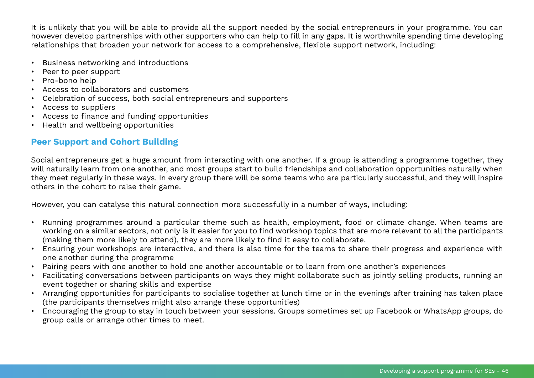It is unlikely that you will be able to provide all the support needed by the social entrepreneurs in your programme. You can however develop partnerships with other supporters who can help to fill in any gaps. It is worthwhile spending time developing relationships that broaden your network for access to a comprehensive, flexible support network, including:

- Business networking and introductions
- Peer to peer support
- Pro-bono help
- Access to collaborators and customers
- Celebration of success, both social entrepreneurs and supporters
- Access to suppliers
- Access to finance and funding opportunities
- Health and wellbeing opportunities

# **Peer Support and Cohort Building**

Social entrepreneurs get a huge amount from interacting with one another. If a group is attending a programme together, they will naturally learn from one another, and most groups start to build friendships and collaboration opportunities naturally when they meet regularly in these ways. In every group there will be some teams who are particularly successful, and they will inspire others in the cohort to raise their game.

However, you can catalyse this natural connection more successfully in a number of ways, including:

- Running programmes around a particular theme such as health, employment, food or climate change. When teams are working on a similar sectors, not only is it easier for you to find workshop topics that are more relevant to all the participants (making them more likely to attend), they are more likely to find it easy to collaborate.
- Ensuring your workshops are interactive, and there is also time for the teams to share their progress and experience with one another during the programme
- Pairing peers with one another to hold one another accountable or to learn from one another's experiences
- Facilitating conversations between participants on ways they might collaborate such as jointly selling products, running an event together or sharing skills and expertise
- Arranging opportunities for participants to socialise together at lunch time or in the evenings after training has taken place (the participants themselves might also arrange these opportunities)
- Encouraging the group to stay in touch between your sessions. Groups sometimes set up Facebook or WhatsApp groups, do group calls or arrange other times to meet.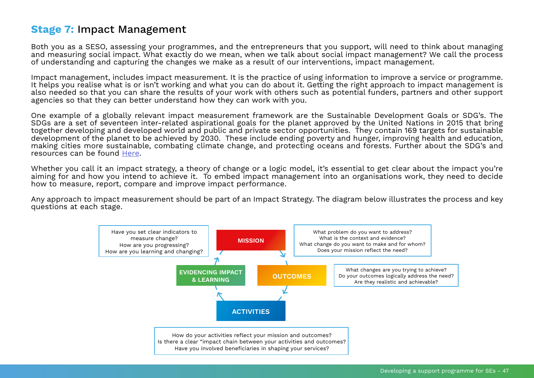# <span id="page-46-0"></span>**Stage 7:** Impact Management

Both you as a SESO, assessing your programmes, and the entrepreneurs that you support, will need to think about managing and measuring social impact. What exactly do we mean, when we talk about social impact management? We call the process of understanding and capturing the changes we make as a result of our interventions, impact management.

Impact management, includes impact measurement. It is the practice of using information to improve a service or programme. It helps you realise what is or isn't working and what you can do about it. Getting the right approach to impact management is also needed so that you can share the results of your work with others such as potential funders, partners and other support agencies so that they can better understand how they can work with you.

One example of a globally relevant impact measurement framework are the Sustainable Development Goals or SDG's. The SDGs are a set of seventeen inter-related aspirational goals for the planet approved by the United Nations in 2015 that bring together developing and developed world and public and private sector opportunities. They contain 169 targets for sustainable development of the planet to be achieved by 2030. These include ending poverty and hunger, improving health and education, making cities more sustainable, combating climate change, and protecting oceans and forests. Further about the SDG's and resources can be found [Here](https://www.undp.org/content/undp/en/home/sustainable-development-goals.html).

Whether you call it an impact strategy, a theory of change or a logic model, it's essential to get clear about the impact you're aiming for and how you intend to achieve it. To embed impact management into an organisations work, they need to decide how to measure, report, compare and improve impact performance.

Any approach to impact measurement should be part of an Impact Strategy. The diagram below illustrates the process and key questions at each stage.

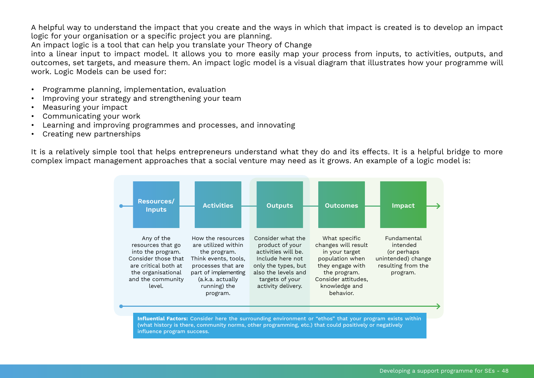A helpful way to understand the impact that you create and the ways in which that impact is created is to develop an impact logic for your organisation or a specific project you are planning.

An impact logic is a tool that can help you translate your Theory of Change

into a linear input to impact model. It allows you to more easily map your process from inputs, to activities, outputs, and outcomes, set targets, and measure them. An impact logic model is a visual diagram that illustrates how your programme will work. Logic Models can be used for:

- Programme planning, implementation, evaluation
- Improving your strategy and strengthening your team
- Measuring your impact
- Communicating your work
- Learning and improving programmes and processes, and innovating
- Creating new partnerships

It is a relatively simple tool that helps entrepreneurs understand what they do and its effects. It is a helpful bridge to more complex impact management approaches that a social venture may need as it grows. An example of a logic model is:

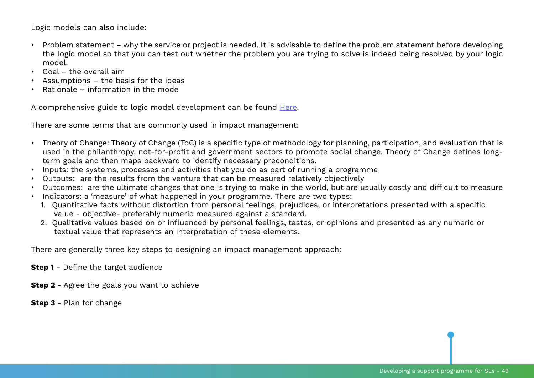Logic models can also include:

- Problem statement why the service or project is needed. It is advisable to define the problem statement before developing the logic model so that you can test out whether the problem you are trying to solve is indeed being resolved by your logic model.
- Goal the overall aim
- Assumptions the basis for the ideas
- Rationale information in the mode

A comprehensive guide to logic model development can be found [Here](https://d3ayyz93zozlya.cloudfront.net/uploaded-files/gathercontent/Logic_Model_Development_Guide.pdf).

There are some terms that are commonly used in impact management:

- Theory of Change: Theory of Change (ToC) is a specific type of methodology for planning, participation, and evaluation that is used in the philanthropy, not-for-profit and government sectors to promote social change. Theory of Change defines longterm goals and then maps backward to identify necessary preconditions.
- Inputs: the systems, processes and activities that you do as part of running a programme
- Outputs: are the results from the venture that can be measured relatively objectively
- Outcomes: are the ultimate changes that one is trying to make in the world, but are usually costly and difficult to measure
- Indicators: a 'measure' of what happened in your programme. There are two types:
	- 1. Quantitative facts without distortion from personal feelings, prejudices, or interpretations presented with a specific value - objective- preferably numeric measured against a standard.
	- 2. Qualitative values based on or influenced by personal feelings, tastes, or opinions and presented as any numeric or textual value that represents an interpretation of these elements.

There are generally three key steps to designing an impact management approach:

**Step 1** - Define the target audience

**Step 2** - Agree the goals you want to achieve

**Step 3** - Plan for change

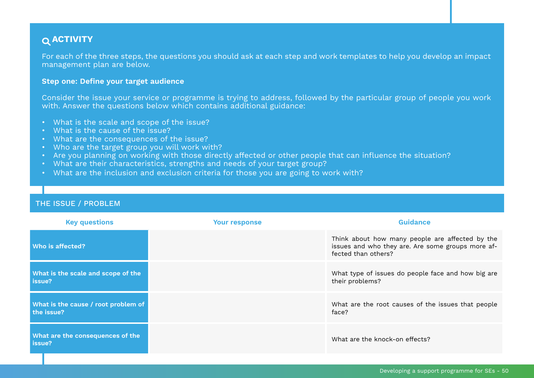# <span id="page-49-0"></span> **ACTIVITY**

For each of the three steps, the questions you should ask at each step and work templates to help you develop an impact management plan are below.

#### **Step one: Define your target audience**

Consider the issue your service or programme is trying to address, followed by the particular group of people you work with. Answer the questions below which contains additional guidance:

- What is the scale and scope of the issue?
- What is the cause of the issue?
- What are the consequences of the issue?
- Who are the target group you will work with?
- Are you planning on working with those directly affected or other people that can influence the situation?
- What are their characteristics, strengths and needs of your target group?
- What are the inclusion and exclusion criteria for those you are going to work with?

| <b>Key questions</b>                              | <b>Your response</b> | <b>Guidance</b>                                                                                                             |
|---------------------------------------------------|----------------------|-----------------------------------------------------------------------------------------------------------------------------|
| Who is affected?                                  |                      | Think about how many people are affected by the<br>issues and who they are. Are some groups more af-<br>fected than others? |
| What is the scale and scope of the<br>issue?      |                      | What type of issues do people face and how big are<br>their problems?                                                       |
| What is the cause / root problem of<br>the issue? |                      | What are the root causes of the issues that people<br>face?                                                                 |
| What are the consequences of the<br>issue?        |                      | What are the knock-on effects?                                                                                              |

### THE ISSUE / PROBLEM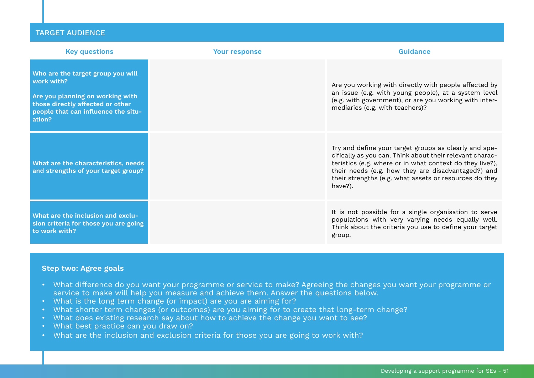| <b>Key questions</b>                                                                                                                                                     | <b>Your response</b> | Guidance                                                                                                                                                                                                                                                                                                 |
|--------------------------------------------------------------------------------------------------------------------------------------------------------------------------|----------------------|----------------------------------------------------------------------------------------------------------------------------------------------------------------------------------------------------------------------------------------------------------------------------------------------------------|
| Who are the target group you will<br>work with?<br>Are you planning on working with<br>those directly affected or other<br>people that can influence the situ-<br>ation? |                      | Are you working with directly with people affected by<br>an issue (e.g. with young people), at a system level<br>(e.g. with government), or are you working with inter-<br>mediaries (e.g. with teachers)?                                                                                               |
| What are the characteristics, needs<br>and strengths of your target group?                                                                                               |                      | Try and define your target groups as clearly and spe-<br>cifically as you can. Think about their relevant charac-<br>teristics (e.g. where or in what context do they live?),<br>their needs (e.g. how they are disadvantaged?) and<br>their strengths (e.g. what assets or resources do they<br>have?). |
| What are the inclusion and exclu-<br>sion criteria for those you are going<br>to work with?                                                                              |                      | It is not possible for a single organisation to serve<br>populations with very varying needs equally well.<br>Think about the criteria you use to define your target<br>group.                                                                                                                           |

#### **Step two: Agree goals**

- What difference do you want your programme or service to make? Agreeing the changes you want your programme or service to make will help you measure and achieve them. Answer the questions below.
- What is the long term change (or impact) are you are aiming for?
- What shorter term changes (or outcomes) are you aiming for to create that long-term change?
- What does existing research say about how to achieve the change you want to see?
- What best practice can you draw on?
- What are the inclusion and exclusion criteria for those you are going to work with?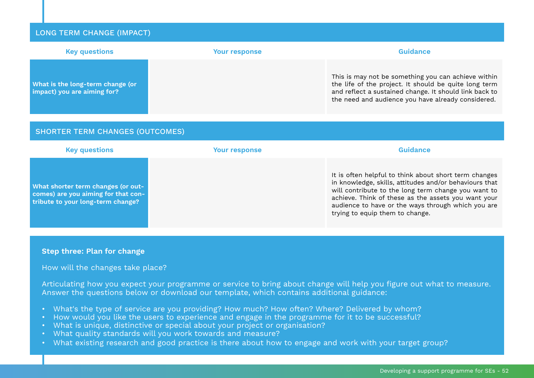#### LONG TERM CHANGE (IMPACT)

| <b>Key questions</b>                                            | <b>Your response</b> | Guidance                                                                                                                                                                                                                     |
|-----------------------------------------------------------------|----------------------|------------------------------------------------------------------------------------------------------------------------------------------------------------------------------------------------------------------------------|
| What is the long-term change (or<br>impact) you are aiming for? |                      | This is may not be something you can achieve within<br>the life of the project. It should be quite long term<br>and reflect a sustained change. It should link back to<br>the need and audience you have already considered. |

#### SHORTER TERM CHANGES (OUTCOMES)

| <b>Key questions</b>                                                                                           | <b>Your response</b> | Guidance                                                                                                                                                                                                                                                                                                               |
|----------------------------------------------------------------------------------------------------------------|----------------------|------------------------------------------------------------------------------------------------------------------------------------------------------------------------------------------------------------------------------------------------------------------------------------------------------------------------|
| What shorter term changes (or out-<br>comes) are you aiming for that con-<br>tribute to your long-term change? |                      | It is often helpful to think about short term changes<br>in knowledge, skills, attitudes and/or behaviours that<br>will contribute to the long term change you want to<br>achieve. Think of these as the assets you want your<br>audience to have or the ways through which you are<br>trying to equip them to change. |

#### **Step three: Plan for change**

#### How will the changes take place?

Articulating how you expect your programme or service to bring about change will help you figure out what to measure. Answer the questions below or download our template, which contains additional guidance:

- What's the type of service are you providing? How much? How often? Where? Delivered by whom?
- How would you like the users to experience and engage in the programme for it to be successful?
- What is unique, distinctive or special about your project or organisation?
- What quality standards will you work towards and measure?
- What existing research and good practice is there about how to engage and work with your target group?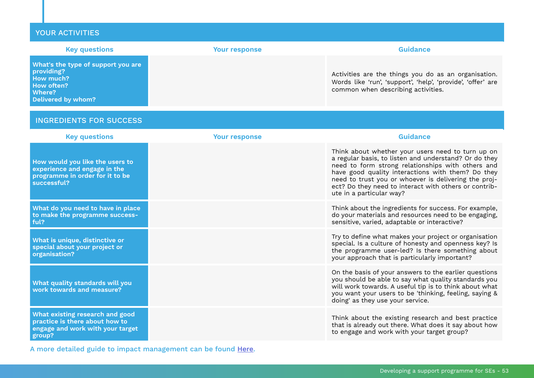| <b>YOUR ACTIVITIES</b>                                                                                                    |                      |                                                                                                                                                                                                                                                                                                                                                                   |
|---------------------------------------------------------------------------------------------------------------------------|----------------------|-------------------------------------------------------------------------------------------------------------------------------------------------------------------------------------------------------------------------------------------------------------------------------------------------------------------------------------------------------------------|
| <b>Key questions</b>                                                                                                      | <b>Your response</b> | <b>Guidance</b>                                                                                                                                                                                                                                                                                                                                                   |
| What's the type of support you are<br>providing?<br>How much?<br><b>How often?</b><br>Where?<br><b>Delivered by whom?</b> |                      | Activities are the things you do as an organisation.<br>Words like 'run', 'support', 'help', 'provide', 'offer' are<br>common when describing activities.                                                                                                                                                                                                         |
| <b>INGREDIENTS FOR SUCCESS</b>                                                                                            |                      |                                                                                                                                                                                                                                                                                                                                                                   |
| <b>Key questions</b>                                                                                                      | <b>Your response</b> | <b>Guidance</b>                                                                                                                                                                                                                                                                                                                                                   |
| How would you like the users to<br>experience and engage in the<br>programme in order for it to be<br>successful?         |                      | Think about whether your users need to turn up on<br>a regular basis, to listen and understand? Or do they<br>need to form strong relationships with others and<br>have good quality interactions with them? Do they<br>need to trust you or whoever is delivering the proj-<br>ect? Do they need to interact with others or contrib-<br>ute in a particular way? |
| What do you need to have in place<br>to make the programme success-<br>ful?                                               |                      | Think about the ingredients for success. For example,<br>do your materials and resources need to be engaging,<br>sensitive, varied, adaptable or interactive?                                                                                                                                                                                                     |
| What is unique, distinctive or<br>special about your project or<br>organisation?                                          |                      | Try to define what makes your project or organisation<br>special. Is a culture of honesty and openness key? Is<br>the programme user-led? Is there something about<br>your approach that is particularly important?                                                                                                                                               |
| What quality standards will you<br>work towards and measure?                                                              |                      | On the basis of your answers to the earlier questions<br>you should be able to say what quality standards you<br>will work towards. A useful tip is to think about what<br>you want your users to be 'thinking, feeling, saying &<br>doing' as they use your service.                                                                                             |
| What existing research and good<br>practice is there about how to<br>engage and work with your target<br>500              |                      | Think about the existing research and best practice<br>that is already out there. What does it say about how<br>to engage and work with your target group?                                                                                                                                                                                                        |

A more detailed guide to impact management can be found [Here](https://evpa.eu.com/knowledge-centre/publications/impact-management-principles).

**group?**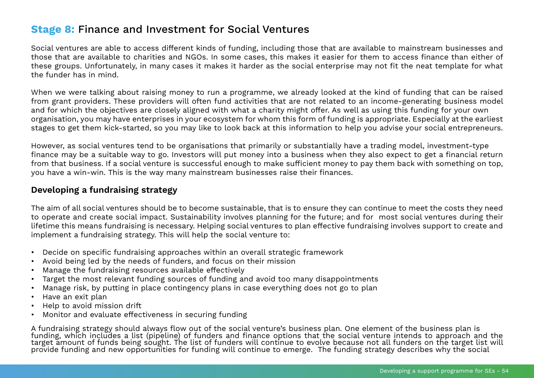# <span id="page-53-0"></span>**Stage 8:** Finance and Investment for Social Ventures

Social ventures are able to access different kinds of funding, including those that are available to mainstream businesses and those that are available to charities and NGOs. In some cases, this makes it easier for them to access finance than either of these groups. Unfortunately, in many cases it makes it harder as the social enterprise may not fit the neat template for what the funder has in mind.

When we were talking about raising money to run a programme, we already looked at the kind of funding that can be raised from grant providers. These providers will often fund activities that are not related to an income-generating business model and for which the objectives are closely aligned with what a charity might offer. As well as using this funding for your own organisation, you may have enterprises in your ecosystem for whom this form of funding is appropriate. Especially at the earliest stages to get them kick-started, so you may like to look back at this information to help you advise your social entrepreneurs.

However, as social ventures tend to be organisations that primarily or substantially have a trading model, investment-type finance may be a suitable way to go. Investors will put money into a business when they also expect to get a financial return from that business. If a social venture is successful enough to make sufficient money to pay them back with something on top, you have a win-win. This is the way many mainstream businesses raise their finances.

# **Developing a fundraising strategy**

The aim of all social ventures should be to become sustainable, that is to ensure they can continue to meet the costs they need to operate and create social impact. Sustainability involves planning for the future; and for most social ventures during their lifetime this means fundraising is necessary. Helping social ventures to plan effective fundraising involves support to create and implement a fundraising strategy. This will help the social venture to:

- Decide on specific fundraising approaches within an overall strategic framework
- Avoid being led by the needs of funders, and focus on their mission
- Manage the fundraising resources available effectively
- Target the most relevant funding sources of funding and avoid too many disappointments
- Manage risk, by putting in place contingency plans in case everything does not go to plan
- Have an exit plan
- Help to avoid mission drift
- Monitor and evaluate effectiveness in securing funding

A fundraising strategy should always flow out of the social venture's business plan. One element of the business plan is funding, which includes a list (pipeline) of funders and finance options that the social venture intends to approach and the target amount of funds being sought. The list of funders will continue to evolve because not all funders on the target list will provide funding and new opportunities for funding will continue to emerge. The funding strategy describes why the social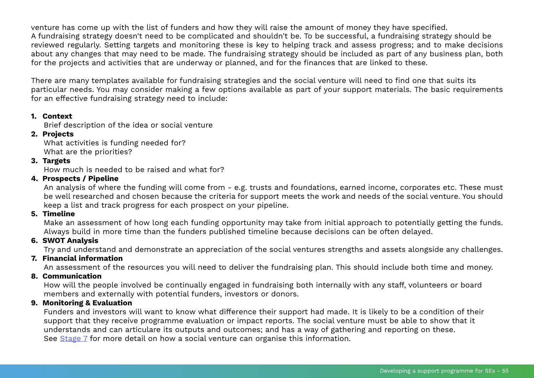venture has come up with the list of funders and how they will raise the amount of money they have specified. A fundraising strategy doesn't need to be complicated and shouldn't be. To be successful, a fundraising strategy should be reviewed regularly. Setting targets and monitoring these is key to helping track and assess progress; and to make decisions about any changes that may need to be made. The fundraising strategy should be included as part of any business plan, both for the projects and activities that are underway or planned, and for the finances that are linked to these.

There are many templates available for fundraising strategies and the social venture will need to find one that suits its particular needs. You may consider making a few options available as part of your support materials. The basic requirements for an effective fundraising strategy need to include:

### **1. Context**

Brief description of the idea or social venture

### **2. Projects**

What activities is funding needed for? What are the priorities?

### **3. Targets**

How much is needed to be raised and what for?

### **4. Prospects / Pipeline**

An analysis of where the funding will come from - e.g. trusts and foundations, earned income, corporates etc. These must be well researched and chosen because the criteria for support meets the work and needs of the social venture. You should keep a list and track progress for each prospect on your pipeline.

### **5. Timeline**

Make an assessment of how long each funding opportunity may take from initial approach to potentially getting the funds. Always build in more time than the funders published timeline because decisions can be often delayed.

### **6. SWOT Analysis**

Try and understand and demonstrate an appreciation of the social ventures strengths and assets alongside any challenges.

### **7. Financial information**

An assessment of the resources you will need to deliver the fundraising plan. This should include both time and money.

### **8. Communication**

How will the people involved be continually engaged in fundraising both internally with any staff, volunteers or board members and externally with potential funders, investors or donors.

### **9. Monitoring & Evaluation**

Funders and investors will want to know what difference their support had made. It is likely to be a condition of their support that they receive programme evaluation or impact reports. The social venture must be able to show that it understands and can articulare its outputs and outcomes; and has a way of gathering and reporting on these. See [Stage 7](#page-46-0) for more detail on how a social venture can organise this information.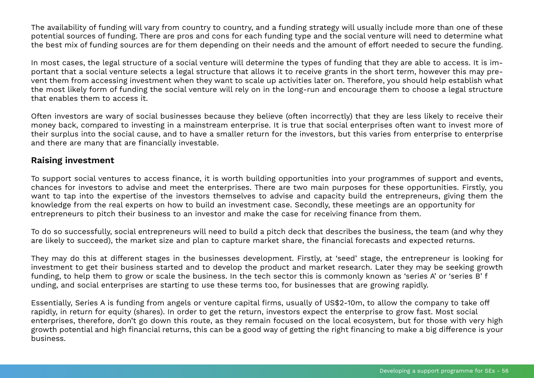The availability of funding will vary from country to country, and a funding strategy will usually include more than one of these potential sources of funding. There are pros and cons for each funding type and the social venture will need to determine what the best mix of funding sources are for them depending on their needs and the amount of effort needed to secure the funding.

In most cases, the legal structure of a social venture will determine the types of funding that they are able to access. It is important that a social venture selects a legal structure that allows it to receive grants in the short term, however this may prevent them from accessing investment when they want to scale up activities later on. Therefore, you should help establish what the most likely form of funding the social venture will rely on in the long-run and encourage them to choose a legal structure that enables them to access it.

Often investors are wary of social businesses because they believe (often incorrectly) that they are less likely to receive their money back, compared to investing in a mainstream enterprise. It is true that social enterprises often want to invest more of their surplus into the social cause, and to have a smaller return for the investors, but this varies from enterprise to enterprise and there are many that are financially investable.

### **Raising investment**

To support social ventures to access finance, it is worth building opportunities into your programmes of support and events, chances for investors to advise and meet the enterprises. There are two main purposes for these opportunities. Firstly, you want to tap into the expertise of the investors themselves to advise and capacity build the entrepreneurs, giving them the knowledge from the real experts on how to build an investment case. Secondly, these meetings are an opportunity for entrepreneurs to pitch their business to an investor and make the case for receiving finance from them.

To do so successfully, social entrepreneurs will need to build a pitch deck that describes the business, the team (and why they are likely to succeed), the market size and plan to capture market share, the financial forecasts and expected returns.

They may do this at different stages in the businesses development. Firstly, at 'seed' stage, the entrepreneur is looking for investment to get their business started and to develop the product and market research. Later they may be seeking growth funding, to help them to grow or scale the business. In the tech sector this is commonly known as 'series A' or 'series B' f unding, and social enterprises are starting to use these terms too, for businesses that are growing rapidly.

Essentially, Series A is funding from angels or venture capital firms, usually of US\$2-10m, to allow the company to take off rapidly, in return for equity (shares). In order to get the return, investors expect the enterprise to grow fast. Most social enterprises, therefore, don't go down this route, as they remain focused on the local ecosystem, but for those with very high growth potential and high financial returns, this can be a good way of getting the right financing to make a big difference is your business.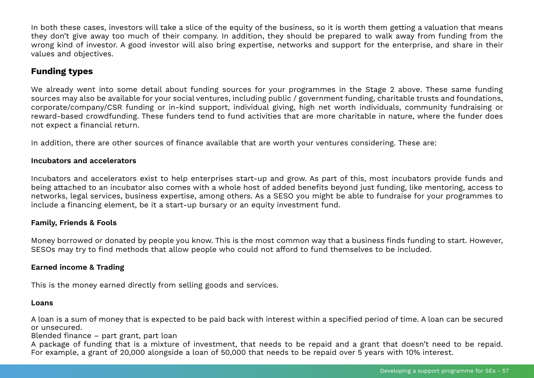In both these cases, investors will take a slice of the equity of the business, so it is worth them getting a valuation that means they don't give away too much of their company. In addition, they should be prepared to walk away from funding from the wrong kind of investor. A good investor will also bring expertise, networks and support for the enterprise, and share in their values and objectives.

# **Funding types**

We already went into some detail about funding sources for your programmes in the Stage 2 above. These same funding sources may also be available for your social ventures, including public / government funding, charitable trusts and foundations, corporate/company/CSR funding or in-kind support, individual giving, high net worth individuals, community fundraising or reward-based crowdfunding. These funders tend to fund activities that are more charitable in nature, where the funder does not expect a financial return.

In addition, there are other sources of finance available that are worth your ventures considering. These are:

### **Incubators and accelerators**

Incubators and accelerators exist to help enterprises start-up and grow. As part of this, most incubators provide funds and being attached to an incubator also comes with a whole host of added benefits beyond just funding, like mentoring, access to networks, legal services, business expertise, among others. As a SESO you might be able to fundraise for your programmes to include a financing element, be it a start-up bursary or an equity investment fund.

### **Family, Friends & Fools**

Money borrowed or donated by people you know. This is the most common way that a business finds funding to start. However, SESOs may try to find methods that allow people who could not afford to fund themselves to be included.

### **Earned income & Trading**

This is the money earned directly from selling goods and services.

#### **Loans**

A loan is a sum of money that is expected to be paid back with interest within a specified period of time. A loan can be secured or unsecured.

Blended finance – part grant, part loan

A package of funding that is a mixture of investment, that needs to be repaid and a grant that doesn't need to be repaid. For example, a grant of 20,000 alongside a loan of 50,000 that needs to be repaid over 5 years with 10% interest.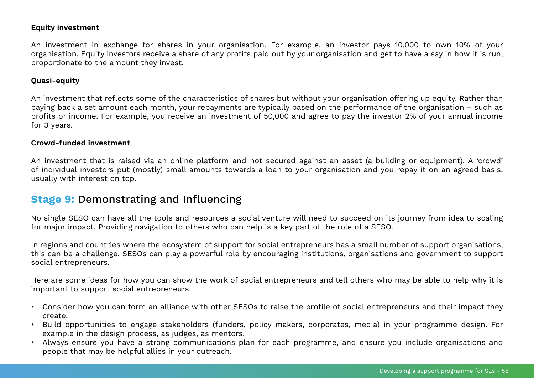#### <span id="page-57-0"></span>**Equity investment**

An investment in exchange for shares in your organisation. For example, an investor pays 10,000 to own 10% of your organisation. Equity investors receive a share of any profits paid out by your organisation and get to have a say in how it is run, proportionate to the amount they invest.

### **Quasi-equity**

An investment that reflects some of the characteristics of shares but without your organisation offering up equity. Rather than paying back a set amount each month, your repayments are typically based on the performance of the organisation – such as profits or income. For example, you receive an investment of 50,000 and agree to pay the investor 2% of your annual income for 3 years.

#### **Crowd-funded investment**

An investment that is raised via an online platform and not secured against an asset (a building or equipment). A 'crowd' of individual investors put (mostly) small amounts towards a loan to your organisation and you repay it on an agreed basis, usually with interest on top.

# **Stage 9:** Demonstrating and Influencing

No single SESO can have all the tools and resources a social venture will need to succeed on its journey from idea to scaling for major impact. Providing navigation to others who can help is a key part of the role of a SESO.

In regions and countries where the ecosystem of support for social entrepreneurs has a small number of support organisations, this can be a challenge. SESOs can play a powerful role by encouraging institutions, organisations and government to support social entrepreneurs.

Here are some ideas for how you can show the work of social entrepreneurs and tell others who may be able to help why it is important to support social entrepreneurs.

- Consider how you can form an alliance with other SESOs to raise the profile of social entrepreneurs and their impact they create.
- Build opportunities to engage stakeholders (funders, policy makers, corporates, media) in your programme design. For example in the design process, as judges, as mentors.
- Always ensure you have a strong communications plan for each programme, and ensure you include organisations and people that may be helpful allies in your outreach.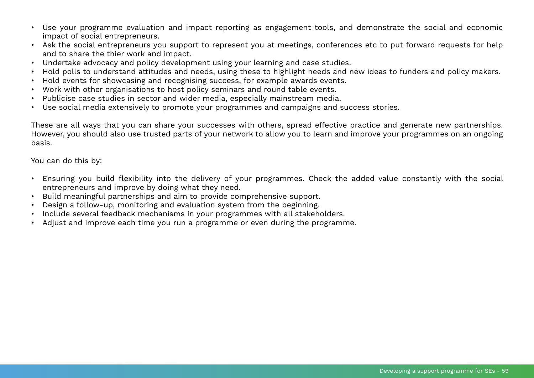- Use your programme evaluation and impact reporting as engagement tools, and demonstrate the social and economic impact of social entrepreneurs.
- Ask the social entrepreneurs you support to represent you at meetings, conferences etc to put forward requests for help and to share the thier work and impact.
- Undertake advocacy and policy development using your learning and case studies.
- Hold polls to understand attitudes and needs, using these to highlight needs and new ideas to funders and policy makers.
- Hold events for showcasing and recognising success, for example awards events.
- Work with other organisations to host policy seminars and round table events.
- Publicise case studies in sector and wider media, especially mainstream media.
- Use social media extensively to promote your programmes and campaigns and success stories.

These are all ways that you can share your successes with others, spread effective practice and generate new partnerships. However, you should also use trusted parts of your network to allow you to learn and improve your programmes on an ongoing basis.

You can do this by:

- Ensuring you build flexibility into the delivery of your programmes. Check the added value constantly with the social entrepreneurs and improve by doing what they need.
- Build meaningful partnerships and aim to provide comprehensive support.
- Design a follow-up, monitoring and evaluation system from the beginning.
- Include several feedback mechanisms in your programmes with all stakeholders.
- Adjust and improve each time you run a programme or even during the programme.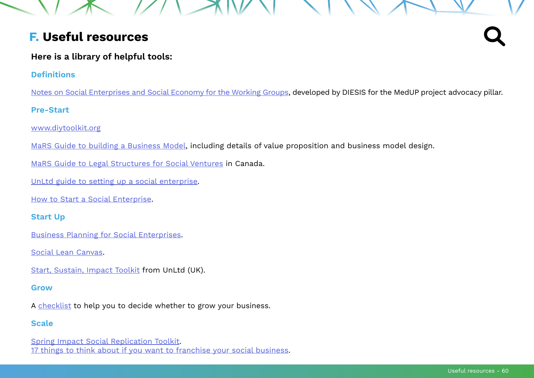# <span id="page-59-0"></span>**F. Useful resources**

# **Here is a library of helpful tools:**

### **Definitions**

[Notes on Social Enterprises and Social Economy for the Working Groups,](https://drive.google.com/file/d/19I43ejRCDbCaUkcd6gLSlTERHM64Kxn2/view?usp=sharing) developed by DIESIS for the MedUP project advocacy pillar.

### **Pre-Start**

[www.diytoolkit.org](https://www.diytoolkit.org)

[MaRS Guide to building a Business Model,](https://www.marsdd.com/mars-library/business-model-design) including details of value proposition and business model design.

[MaRS Guide to Legal Structures for Social Ventures](https://www.marsdd.com/mars-library/legal-structures-for-social-ventures-social-enterprise-social-business-and-cooperatives-in-canada/) in Canada.

[UnLtd guide to setting up a social enterprise](https://redochre.org.uk/wp-content/uploads/2010/11/HEFCE-Toolkit.pdf).

[How to Start a Social Enterprise](https://www.inventshift.com/social-enterprise-start).

### **Start Up**

[Business Planning for Social Enterprises](http://socialventures.com.au/assets/Business_Planning_Guide_for_Social_Enterprise.pdf).

[Social Lean Canvas.](https://socialleancanvas.com)

[Start, Sustain, Impact Toolkit](https://www.unltd.org.uk/our-support/learning-area/start-sustain-impact-toolkit) from UnLtd (UK).

### **Grow**

A [checklist](https://www.bgateway.com/resources/growing-your-business-deciding-whether-to-grow) to help you to decide whether to grow your business.

### **Scale**

[Spring Impact Social Replication Toolkit](https://toolkit.springimpact.org/Home). [17 things to think about if you want to franchise your social business.](https://scaling.impacthub.net/2015/06/24/franchise-your-social-enterprise)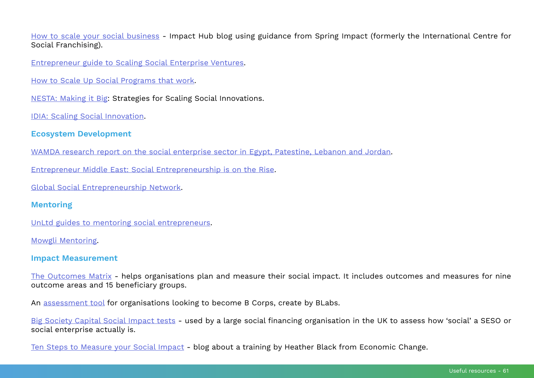[How to scale your social business](https://scaling.impacthub.net/2016/05/18/how-to-scale-your-business-21-steps-from-the-international-centre-for-social-franchising) - Impact Hub blog using guidance from Spring Impact (formerly the International Centre for Social Franchising).

[Entrepreneur guide to Scaling Social Enterprise Ventures](https://www.entrepreneur.com/article/318479).

[How to Scale Up Social Programs that work](https://www.wallacefoundation.org/knowledge-center/pages/how-to-scale-up-social-programs-that-work.aspx).

[NESTA: Making it Big](https://www.nesta.org.uk/report/making-it-big-strategies-for-scaling-social-innovations): Strategies for Scaling Social Innovations.

[IDIA: Scaling Social Innovation](https://static.globalinnovationexchange.org/s3fs-public/asset/document/Scaling%20Innovation%20DIGITAL%20COPY.pdf?C719lAFtMThwNbUpdcs4TeYl5vYa2u9p).

### **Ecosystem Development**

[WAMDA research report on the social enterprise sector in Egypt, Patestine, Lebanon and Jordan](https://www.wamda.com/2017/03/mena-social-enterprises-face-enormous-challenges).

[Entrepreneur Middle East: Social Entrepreneurship is on the Rise](https://www.entrepreneur.com/article/251981).

[Global Social Entrepreneurship Network](http://www.gsen.global/about).

### **Mentoring**

[UnLtd guides to mentoring social entrepreneurs.](https://www.unltd.org.uk/our-support/learning-area/mentoring)

[Mowgli Mentoring](https://www.mowgli.org.uk/about/our-story).

### **Impact Measurement**

[The Outcomes Matrix](https://www.goodfinance.org.uk/impact-matrix) - helps organisations plan and measure their social impact. It includes outcomes and measures for nine outcome areas and 15 beneficiary groups.

An [assessment tool](https://bimpactassessment.net) for organisations looking to become B Corps, create by BLabs.

[Big Society Capital Social Impact tests](https://www.bigsocietycapital.com/sites/default/files/pdf/Social%20Impact%20Assessment%20Matrix%2019-05-15.docx_.pdf) - used by a large social financing organisation in the UK to assess how 'social' a SESO or social enterprise actually is.

[Ten Steps to Measure your Social Impact](https://scaling.impacthub.net/2016/03/14/measuring-your-social-impact) - blog about a training by Heather Black from Economic Change.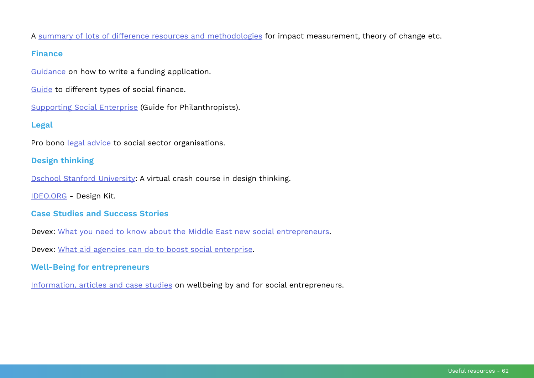A [summary of lots of difference resources and methodologies](https://www.goodfinance.org.uk/measuring-social-impact/resources-and-reports) for impact measurement, theory of change etc.

#### **Finance**

[Guidance](http://www.setoolbelt.org/resources/288) on how to write a funding application.

[Guide](https://www.goodfinance.org.uk) to different types of social finance.

[Supporting Social Enterprise](https://www.rockpa.org/wp-content/uploads/2016/04/Social-Entrepreneurship.pdf) (Guide for Philanthropists).

### **Legal**

Pro bono [legal advice](http://www.trust.org/trustlaw) to social sector organisations.

### **Design thinking**

[Dschool Stanford University](https://dschool.stanford.edu/resources-collections/a-virtual-crash-course-in-design-thinking): A virtual crash course in design thinking.

[IDEO.ORG](http://www.designkit.org) - Design Kit.

### **Case Studies and Success Stories**

Devex: [What you need to know about the Middle East new social entrepreneurs](https://www.devex.com/news/what-you-need-to-know-about-the-middle-east-s-new-social-entrepreneurs-81627).

Devex: [What aid agencies can do to boost social enterprise](https://www.devex.com/news/what-aid-agencies-can-do-to-boost-social-enterprise-73401).

### **Well-Being for entrepreneurs**

[Information, articles and case studies](http://wellbeing-project.org) on wellbeing by and for social entrepreneurs.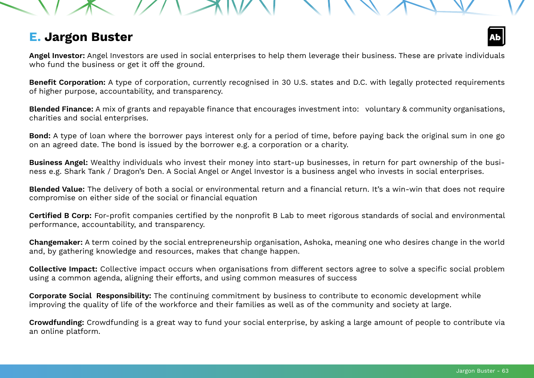# <span id="page-62-0"></span>**E. Jargon Buster**

**Angel Investor:** Angel Investors are used in social enterprises to help them leverage their business. These are private individuals who fund the business or get it off the ground.

**Benefit Corporation:** A type of corporation, currently recognised in 30 U.S. states and D.C. with legally protected requirements of higher purpose, accountability, and transparency.

**Blended Finance:** A mix of grants and repayable finance that encourages investment into: voluntary & community organisations, charities and social enterprises.

**Bond:** A type of loan where the borrower pays interest only for a period of time, before paying back the original sum in one go on an agreed date. The bond is issued by the borrower e.g. a corporation or a charity.

**Business Angel:** Wealthy individuals who invest their money into start-up businesses, in return for part ownership of the business e.g. Shark Tank / Dragon's Den. A Social Angel or Angel Investor is a business angel who invests in social enterprises.

**Blended Value:** The delivery of both a social or environmental return and a financial return. It's a win-win that does not require compromise on either side of the social or financial equation

**Certified B Corp:** For-profit companies certified by the nonprofit B Lab to meet rigorous standards of social and environmental performance, accountability, and transparency.

**Changemaker:** A term coined by the social entrepreneurship organisation, Ashoka, meaning one who desires change in the world and, by gathering knowledge and resources, makes that change happen.

**Collective Impact:** Collective impact occurs when organisations from different sectors agree to solve a specific social problem using a common agenda, aligning their efforts, and using common measures of success

**Corporate Social Responsibility:** The continuing commitment by business to contribute to economic development while improving the quality of life of the workforce and their families as well as of the community and society at large.

**Crowdfunding:** Crowdfunding is a great way to fund your social enterprise, by asking a large amount of people to contribute via an online platform.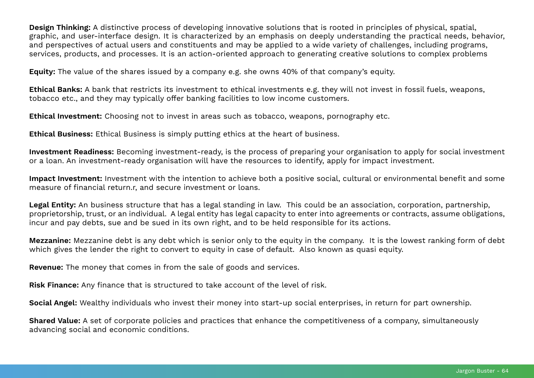**Design Thinking:** A distinctive process of developing innovative solutions that is rooted in principles of physical, spatial, graphic, and user-interface design. It is characterized by an emphasis on deeply understanding the practical needs, behavior, and perspectives of actual users and constituents and may be applied to a wide variety of challenges, including programs, services, products, and processes. It is an action-oriented approach to generating creative solutions to complex problems

**Equity:** The value of the shares issued by a company e.g. she owns 40% of that company's equity.

**Ethical Banks:** A bank that restricts its investment to ethical investments e.g. they will not invest in fossil fuels, weapons, tobacco etc., and they may typically offer banking facilities to low income customers.

**Ethical Investment:** Choosing not to invest in areas such as tobacco, weapons, pornography etc.

**Ethical Business:** Ethical Business is simply putting ethics at the heart of business.

**Investment Readiness:** Becoming investment-ready, is the process of preparing your organisation to apply for social investment or a loan. An investment-ready organisation will have the resources to identify, apply for impact investment.

**Impact Investment:** Investment with the intention to achieve both a positive social, cultural or environmental benefit and some measure of financial return.r, and secure investment or loans.

**Legal Entity:** An business structure that has a legal standing in law. This could be an association, corporation, partnership, proprietorship, trust, or an individual. A legal entity has legal capacity to enter into agreements or contracts, assume obligations, incur and pay debts, sue and be sued in its own right, and to be held responsible for its actions.

**Mezzanine:** Mezzanine debt is any debt which is senior only to the equity in the company. It is the lowest ranking form of debt which gives the lender the right to convert to equity in case of default. Also known as quasi equity.

**Revenue:** The money that comes in from the sale of goods and services.

**Risk Finance:** Any finance that is structured to take account of the level of risk.

**Social Angel:** Wealthy individuals who invest their money into start-up social enterprises, in return for part ownership.

**Shared Value:** A set of corporate policies and practices that enhance the competitiveness of a company, simultaneously advancing social and economic conditions.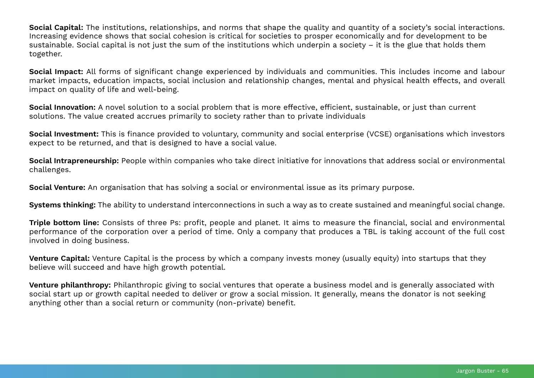**Social Capital:** The institutions, relationships, and norms that shape the quality and quantity of a society's social interactions. Increasing evidence shows that social cohesion is critical for societies to prosper economically and for development to be sustainable. Social capital is not just the sum of the institutions which underpin a society – it is the glue that holds them together.

**Social Impact:** All forms of significant change experienced by individuals and communities. This includes income and labour market impacts, education impacts, social inclusion and relationship changes, mental and physical health effects, and overall impact on quality of life and well-being.

**Social Innovation:** A novel solution to a social problem that is more effective, efficient, sustainable, or just than current solutions. The value created accrues primarily to society rather than to private individuals

**Social Investment:** This is finance provided to voluntary, community and social enterprise (VCSE) organisations which investors expect to be returned, and that is designed to have a social value.

**Social Intrapreneurship:** People within companies who take direct initiative for innovations that address social or environmental challenges.

**Social Venture:** An organisation that has solving a social or environmental issue as its primary purpose.

**Systems thinking:** The ability to understand interconnections in such a way as to create sustained and meaningful social change.

**Triple bottom line:** Consists of three Ps: profit, people and planet. It aims to measure the financial, social and environmental performance of the corporation over a period of time. Only a company that produces a TBL is taking account of the full cost involved in doing business.

**Venture Capital:** Venture Capital is the process by which a company invests money (usually equity) into startups that they believe will succeed and have high growth potential.

**Venture philanthropy:** Philanthropic giving to social ventures that operate a business model and is generally associated with social start up or growth capital needed to deliver or grow a social mission. It generally, means the donator is not seeking anything other than a social return or community (non-private) benefit.